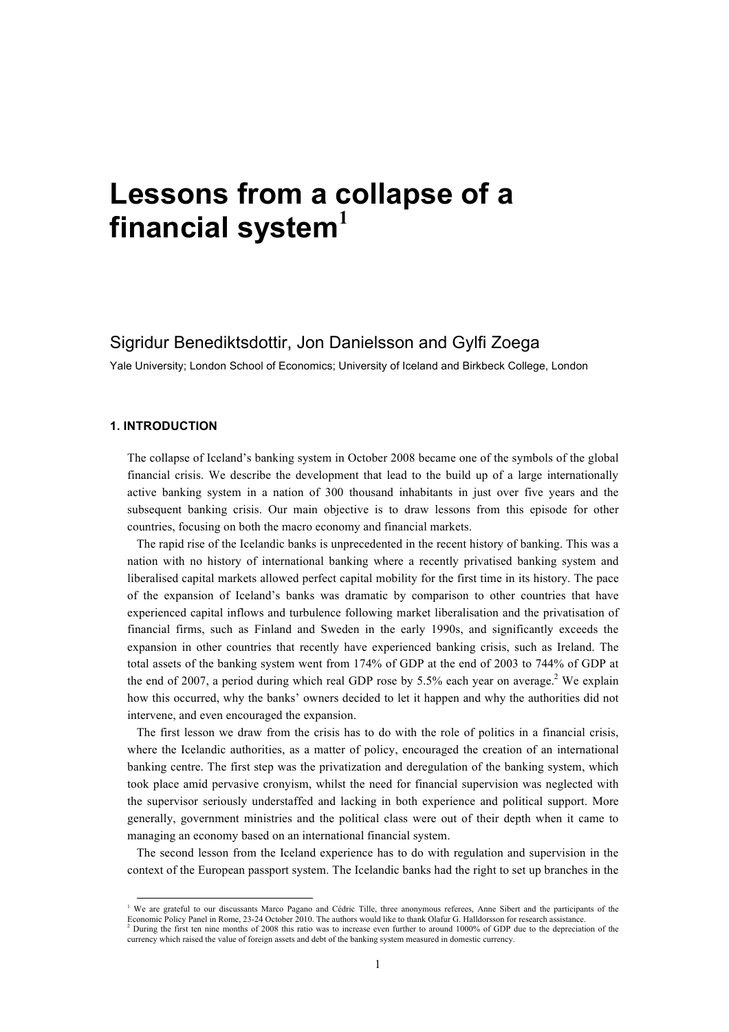# **Lessons from a collapse of a financial system<sup>1</sup>**

## Sigridur Benediktsdottir, Jon Danielsson and Gylfi Zoega

Yale University; London School of Economics; University of Iceland and Birkbeck College, London

## **1. INTRODUCTION**

The collapse of Iceland's banking system in October 2008 became one of the symbols of the global financial crisis. We describe the development that lead to the build up of a large internationally active banking system in a nation of 300 thousand inhabitants in just over five years and the subsequent banking crisis. Our main objective is to draw lessons from this episode for other countries, focusing on both the macro economy and financial markets.

The rapid rise of the Icelandic banks is unprecedented in the recent history of banking. This was a nation with no history of international banking where a recently privatised banking system and liberalised capital markets allowed perfect capital mobility for the first time in its history. The pace of the expansion of Iceland's banks was dramatic by comparison to other countries that have experienced capital inflows and turbulence following market liberalisation and the privatisation of financial firms, such as Finland and Sweden in the early 1990s, and significantly exceeds the expansion in other countries that recently have experienced banking crisis, such as Ireland. The total assets of the banking system went from 174% of GDP at the end of 2003 to 744% of GDP at the end of 2007, a period during which real GDP rose by 5.5% each year on average.<sup>2</sup> We explain how this occurred, why the banks' owners decided to let it happen and why the authorities did not intervene, and even encouraged the expansion.

The first lesson we draw from the crisis has to do with the role of politics in a financial crisis, where the Icelandic authorities, as a matter of policy, encouraged the creation of an international banking centre. The first step was the privatization and deregulation of the banking system, which took place amid pervasive cronyism, whilst the need for financial supervision was neglected with the supervisor seriously understaffed and lacking in both experience and political support. More generally, government ministries and the political class were out of their depth when it came to managing an economy based on an international financial system.

The second lesson from the Iceland experience has to do with regulation and supervision in the context of the European passport system. The Icelandic banks had the right to set up branches in the

<sup>&</sup>lt;sup>1</sup> We are grateful to our discussants Marco Pagano and Cédric Tille, three anonymous referees, Anne Sibert and the participants of the Economic Policy Panel in Rome, 23-24 October 2010. The authors would like to thank Ola <sup>2</sup> During the first ten nine months of 2008 this ratio was to increase even further to around 1000% of GDP due to the depreciation of the currency which raised the value of foreign assets and debt of the banking system measured in domestic currency.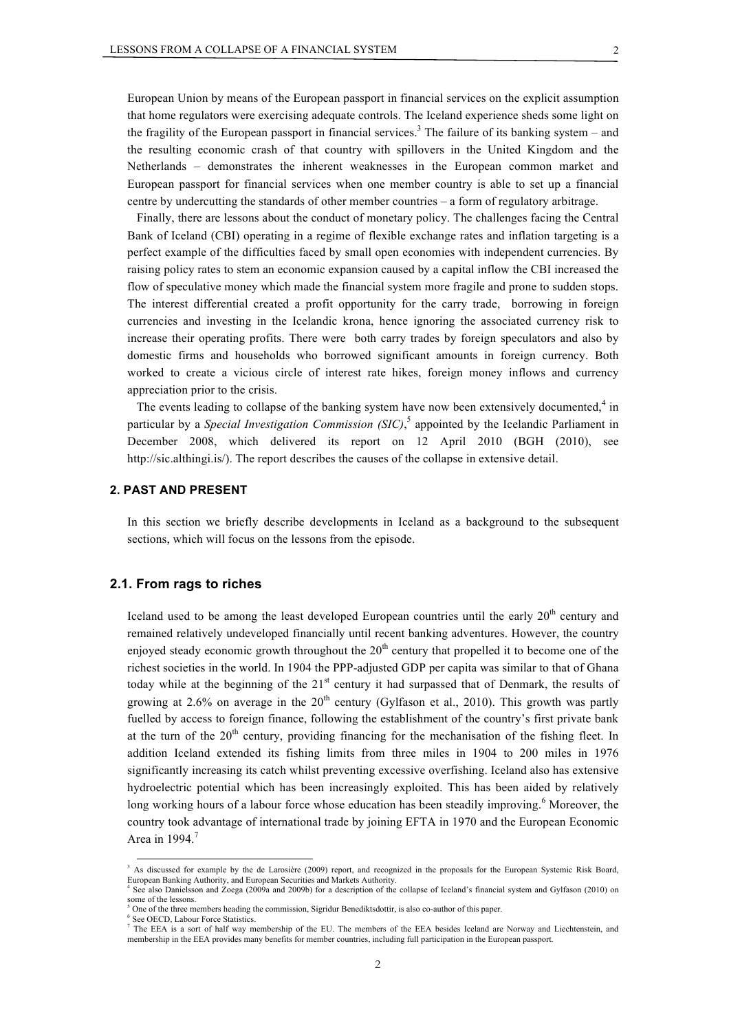European Union by means of the European passport in financial services on the explicit assumption that home regulators were exercising adequate controls. The Iceland experience sheds some light on the fragility of the European passport in financial services.<sup>3</sup> The failure of its banking system – and the resulting economic crash of that country with spillovers in the United Kingdom and the Netherlands – demonstrates the inherent weaknesses in the European common market and European passport for financial services when one member country is able to set up a financial centre by undercutting the standards of other member countries – a form of regulatory arbitrage.

Finally, there are lessons about the conduct of monetary policy. The challenges facing the Central Bank of Iceland (CBI) operating in a regime of flexible exchange rates and inflation targeting is a perfect example of the difficulties faced by small open economies with independent currencies. By raising policy rates to stem an economic expansion caused by a capital inflow the CBI increased the flow of speculative money which made the financial system more fragile and prone to sudden stops. The interest differential created a profit opportunity for the carry trade, borrowing in foreign currencies and investing in the Icelandic krona, hence ignoring the associated currency risk to increase their operating profits. There were both carry trades by foreign speculators and also by domestic firms and households who borrowed significant amounts in foreign currency. Both worked to create a vicious circle of interest rate hikes, foreign money inflows and currency appreciation prior to the crisis.

The events leading to collapse of the banking system have now been extensively documented, $4$  in particular by a *Special Investigation Commission (SIC)*, <sup>5</sup> appointed by the Icelandic Parliament in December 2008, which delivered its report on 12 April 2010 (BGH (2010), see http://sic.althingi.is/). The report describes the causes of the collapse in extensive detail.

## **2. PAST AND PRESENT**

In this section we briefly describe developments in Iceland as a background to the subsequent sections, which will focus on the lessons from the episode.

## **2.1. From rags to riches**

Iceland used to be among the least developed European countries until the early  $20<sup>th</sup>$  century and remained relatively undeveloped financially until recent banking adventures. However, the country enjoyed steady economic growth throughout the  $20<sup>th</sup>$  century that propelled it to become one of the richest societies in the world. In 1904 the PPP-adjusted GDP per capita was similar to that of Ghana today while at the beginning of the  $21<sup>st</sup>$  century it had surpassed that of Denmark, the results of growing at 2.6% on average in the  $20<sup>th</sup>$  century (Gylfason et al., 2010). This growth was partly fuelled by access to foreign finance, following the establishment of the country's first private bank at the turn of the  $20<sup>th</sup>$  century, providing financing for the mechanisation of the fishing fleet. In addition Iceland extended its fishing limits from three miles in 1904 to 200 miles in 1976 significantly increasing its catch whilst preventing excessive overfishing. Iceland also has extensive hydroelectric potential which has been increasingly exploited. This has been aided by relatively long working hours of a labour force whose education has been steadily improving.<sup>6</sup> Moreover, the country took advantage of international trade by joining EFTA in 1970 and the European Economic Area in 1994.<sup>7</sup>

<sup>&</sup>lt;sup>3</sup> As discussed for example by the de Larosière (2009) report, and recognized in the proposals for the European Systemic Risk Board, European Banking Authority, and European Securities and Markets Authority.

<sup>&</sup>lt;sup>4</sup> See also Danielsson and Zoega (2009a and 2009b) for a description of the collapse of Iceland's financial system and Gylfason (2010) on some of the lessons. <sup>5</sup> One of the three members heading the commission, Sigridur Benediktsdottir, is also co-author of this paper.

<sup>&</sup>lt;sup>6</sup> See OECD, Labour Force Statistics.

<sup>&</sup>lt;sup>7</sup> The EEA is a sort of half way membership of the EU. The members of the EEA besides Iceland are Norway and Liechtenstein, and membership in the EEA provides many benefits for member countries, including full participation in the European passport.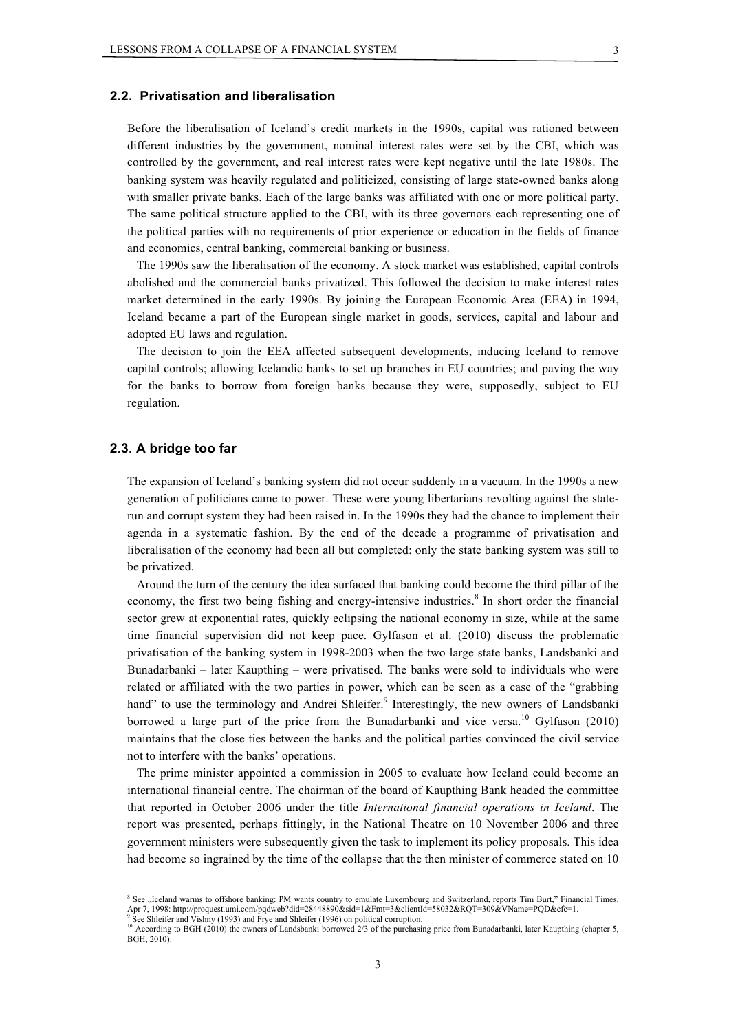## **2.2. Privatisation and liberalisation**

Before the liberalisation of Iceland's credit markets in the 1990s, capital was rationed between different industries by the government, nominal interest rates were set by the CBI, which was controlled by the government, and real interest rates were kept negative until the late 1980s. The banking system was heavily regulated and politicized, consisting of large state-owned banks along with smaller private banks. Each of the large banks was affiliated with one or more political party. The same political structure applied to the CBI, with its three governors each representing one of the political parties with no requirements of prior experience or education in the fields of finance and economics, central banking, commercial banking or business.

The 1990s saw the liberalisation of the economy. A stock market was established, capital controls abolished and the commercial banks privatized. This followed the decision to make interest rates market determined in the early 1990s. By joining the European Economic Area (EEA) in 1994, Iceland became a part of the European single market in goods, services, capital and labour and adopted EU laws and regulation.

The decision to join the EEA affected subsequent developments, inducing Iceland to remove capital controls; allowing Icelandic banks to set up branches in EU countries; and paving the way for the banks to borrow from foreign banks because they were, supposedly, subject to EU regulation.

## **2.3. A bridge too far**

The expansion of Iceland's banking system did not occur suddenly in a vacuum. In the 1990s a new generation of politicians came to power. These were young libertarians revolting against the staterun and corrupt system they had been raised in. In the 1990s they had the chance to implement their agenda in a systematic fashion. By the end of the decade a programme of privatisation and liberalisation of the economy had been all but completed: only the state banking system was still to be privatized.

Around the turn of the century the idea surfaced that banking could become the third pillar of the economy, the first two being fishing and energy-intensive industries.<sup>8</sup> In short order the financial sector grew at exponential rates, quickly eclipsing the national economy in size, while at the same time financial supervision did not keep pace. Gylfason et al. (2010) discuss the problematic privatisation of the banking system in 1998-2003 when the two large state banks, Landsbanki and Bunadarbanki – later Kaupthing – were privatised. The banks were sold to individuals who were related or affiliated with the two parties in power, which can be seen as a case of the "grabbing hand" to use the terminology and Andrei Shleifer.<sup>9</sup> Interestingly, the new owners of Landsbanki borrowed a large part of the price from the Bunadarbanki and vice versa.<sup>10</sup> Gylfason (2010) maintains that the close ties between the banks and the political parties convinced the civil service not to interfere with the banks' operations.

The prime minister appointed a commission in 2005 to evaluate how Iceland could become an international financial centre. The chairman of the board of Kaupthing Bank headed the committee that reported in October 2006 under the title *International financial operations in Iceland*. The report was presented, perhaps fittingly, in the National Theatre on 10 November 2006 and three government ministers were subsequently given the task to implement its policy proposals. This idea had become so ingrained by the time of the collapse that the then minister of commerce stated on 10

<sup>&</sup>lt;sup>8</sup> See "Iceland warms to offshore banking: PM wants country to emulate Luxembourg and Switzerland, reports Tim Burt," Financial Times. Apr 7, 1998: http://proquest.umi.com/pqdweb?did=28448890&sid=1&Fmt=3&clientId=58032&RQT=309&VName=PQD&cfc=1.<br><sup>9</sup> See Shleifer and Vishny (1993) and Frye and Shleifer (1996) on political corruption.

<sup>&</sup>lt;sup>10</sup> According to BGH (2010) the owners of Landsbanki borrowed 2/3 of the purchasing price from Bunadarbanki, later Kaupthing (chapter 5, BGH, 2010).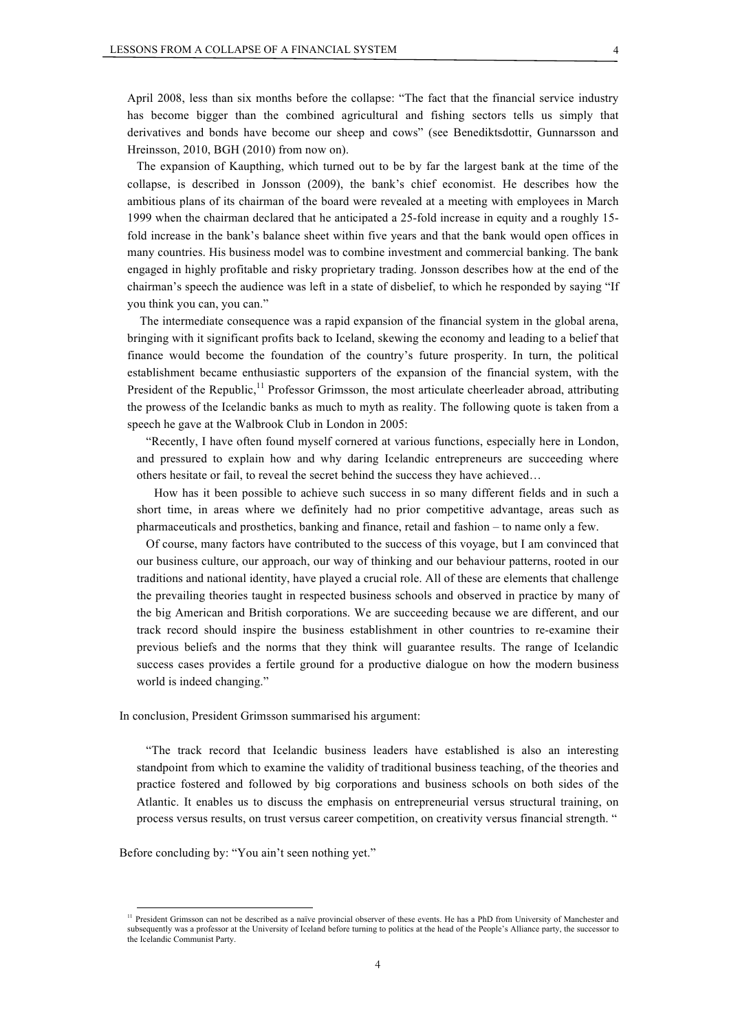April 2008, less than six months before the collapse: "The fact that the financial service industry has become bigger than the combined agricultural and fishing sectors tells us simply that derivatives and bonds have become our sheep and cows" (see Benediktsdottir, Gunnarsson and Hreinsson, 2010, BGH (2010) from now on).

The expansion of Kaupthing, which turned out to be by far the largest bank at the time of the collapse, is described in Jonsson (2009), the bank's chief economist. He describes how the ambitious plans of its chairman of the board were revealed at a meeting with employees in March 1999 when the chairman declared that he anticipated a 25-fold increase in equity and a roughly 15 fold increase in the bank's balance sheet within five years and that the bank would open offices in many countries. His business model was to combine investment and commercial banking. The bank engaged in highly profitable and risky proprietary trading. Jonsson describes how at the end of the chairman's speech the audience was left in a state of disbelief, to which he responded by saying "If you think you can, you can."

The intermediate consequence was a rapid expansion of the financial system in the global arena, bringing with it significant profits back to Iceland, skewing the economy and leading to a belief that finance would become the foundation of the country's future prosperity. In turn, the political establishment became enthusiastic supporters of the expansion of the financial system, with the President of the Republic,<sup>11</sup> Professor Grimsson, the most articulate cheerleader abroad, attributing the prowess of the Icelandic banks as much to myth as reality. The following quote is taken from a speech he gave at the Walbrook Club in London in 2005:

"Recently, I have often found myself cornered at various functions, especially here in London, and pressured to explain how and why daring Icelandic entrepreneurs are succeeding where others hesitate or fail, to reveal the secret behind the success they have achieved…

How has it been possible to achieve such success in so many different fields and in such a short time, in areas where we definitely had no prior competitive advantage, areas such as pharmaceuticals and prosthetics, banking and finance, retail and fashion – to name only a few.

Of course, many factors have contributed to the success of this voyage, but I am convinced that our business culture, our approach, our way of thinking and our behaviour patterns, rooted in our traditions and national identity, have played a crucial role. All of these are elements that challenge the prevailing theories taught in respected business schools and observed in practice by many of the big American and British corporations. We are succeeding because we are different, and our track record should inspire the business establishment in other countries to re-examine their previous beliefs and the norms that they think will guarantee results. The range of Icelandic success cases provides a fertile ground for a productive dialogue on how the modern business world is indeed changing."

In conclusion, President Grimsson summarised his argument:

"The track record that Icelandic business leaders have established is also an interesting standpoint from which to examine the validity of traditional business teaching, of the theories and practice fostered and followed by big corporations and business schools on both sides of the Atlantic. It enables us to discuss the emphasis on entrepreneurial versus structural training, on process versus results, on trust versus career competition, on creativity versus financial strength. "

Before concluding by: "You ain't seen nothing yet."

<sup>&</sup>lt;sup>11</sup> President Grimsson can not be described as a naïve provincial observer of these events. He has a PhD from University of Manchester and subsequently was a professor at the University of Iceland before turning to politics at the head of the People's Alliance party, the successor to the Icelandic Communist Party.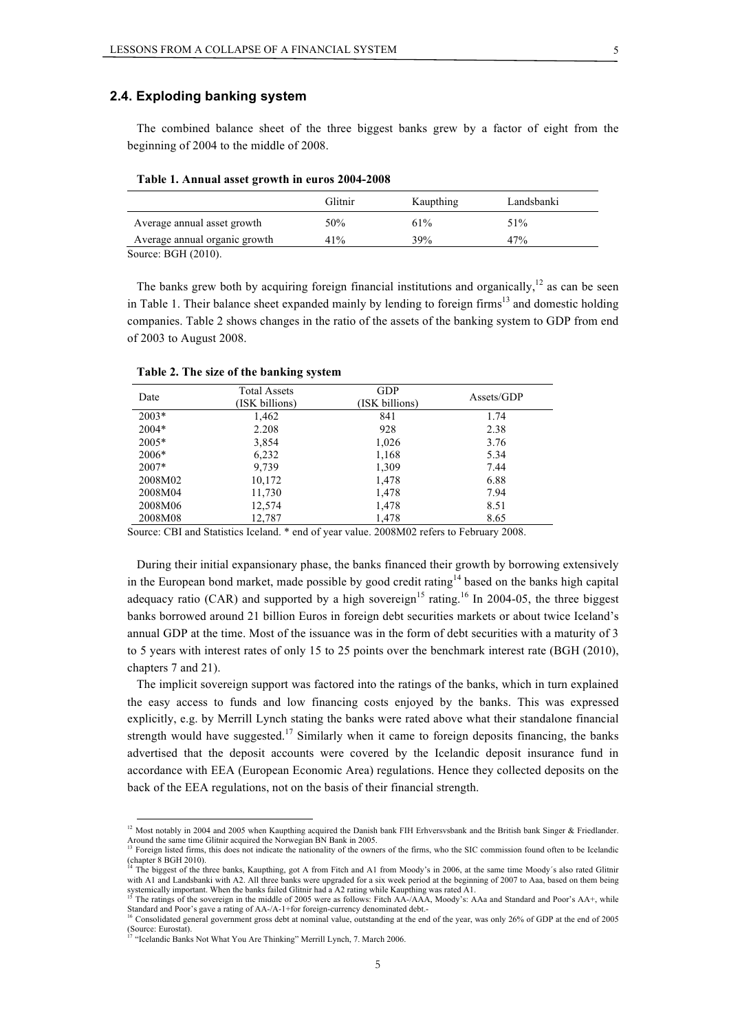## **2.4. Exploding banking system**

The combined balance sheet of the three biggest banks grew by a factor of eight from the beginning of 2004 to the middle of 2008.

|  | Table 1. Annual asset growth in euros 2004-2008 |  |  |  |
|--|-------------------------------------------------|--|--|--|
|  |                                                 |  |  |  |

|                               | Glitnir | Kaupthing | Landsbanki |
|-------------------------------|---------|-----------|------------|
| Average annual asset growth   | 50%     | 61%       | 51%        |
| Average annual organic growth | 41%     | 39%       | 47%        |
| P(TT/A010)<br>$\sim$          |         |           |            |

Source: BGH (2010).

The banks grew both by acquiring foreign financial institutions and organically,<sup>12</sup> as can be seen in Table 1. Their balance sheet expanded mainly by lending to foreign firms<sup>13</sup> and domestic holding companies. Table 2 shows changes in the ratio of the assets of the banking system to GDP from end of 2003 to August 2008.

| Date    | <b>Total Assets</b><br>(ISK billions) | <b>GDP</b><br>(ISK billions) | Assets/GDP |
|---------|---------------------------------------|------------------------------|------------|
| $2003*$ | 1,462                                 | 841                          | 1.74       |
| $2004*$ | 2.208                                 | 928                          | 2.38       |
| $2005*$ | 3,854                                 | 1,026                        | 3.76       |
| $2006*$ | 6,232                                 | 1,168                        | 5.34       |
| $2007*$ | 9,739                                 | 1,309                        | 7.44       |
| 2008M02 | 10,172                                | 1,478                        | 6.88       |
| 2008M04 | 11,730                                | 1,478                        | 7.94       |
| 2008M06 | 12,574                                | 1,478                        | 8.51       |
| 2008M08 | 12,787                                | 1,478                        | 8.65       |

**Table 2. The size of the banking system** 

Source: CBI and Statistics Iceland. \* end of year value. 2008M02 refers to February 2008.

During their initial expansionary phase, the banks financed their growth by borrowing extensively in the European bond market, made possible by good credit rating<sup>14</sup> based on the banks high capital adequacy ratio (CAR) and supported by a high sovereign<sup>15</sup> rating.<sup>16</sup> In 2004-05, the three biggest banks borrowed around 21 billion Euros in foreign debt securities markets or about twice Iceland's annual GDP at the time. Most of the issuance was in the form of debt securities with a maturity of 3 to 5 years with interest rates of only 15 to 25 points over the benchmark interest rate (BGH (2010), chapters 7 and 21).

The implicit sovereign support was factored into the ratings of the banks, which in turn explained the easy access to funds and low financing costs enjoyed by the banks. This was expressed explicitly, e.g. by Merrill Lynch stating the banks were rated above what their standalone financial strength would have suggested.<sup>17</sup> Similarly when it came to foreign deposits financing, the banks advertised that the deposit accounts were covered by the Icelandic deposit insurance fund in accordance with EEA (European Economic Area) regulations. Hence they collected deposits on the back of the EEA regulations, not on the basis of their financial strength.

<sup>&</sup>lt;sup>12</sup> Most notably in 2004 and 2005 when Kaupthing acquired the Danish bank FIH Erhversvsbank and the British bank Singer & Friedlander. Around the same time Glitnir acquired the Norwegian BN Bank in 2005.

<sup>&</sup>lt;sup>13</sup> Foreign listed firms, this does not indicate the nationality of the owners of the firms, who the SIC commission found often to be Icelandic (chapter 8 BGH 2010). <sup>14</sup> The biggest of the three banks, Kaupthing, got A from Fitch and A1 from Moody's in 2006, at the same time Moody´s also rated Glitnir

with A1 and Landsbanki with A2. All three banks were upgraded for a six week period at the beginning of 2007 to Aaa, based on them being systemically important. When the banks failed Glitnir had a A2 rating while Kaupthing was rated A1.<br><sup>15</sup> The ratings of the sovereign in the middle of 2005 were as follows: Fitch AA-/AAA, Moody's: AAa and Standard and Poor

Standard and Poor's gave a rating of AA-/A-1+for foreign-currency denominated debt.-<br><sup>16</sup> Consolidated general government gross debt at nominal value, outstanding at the end of the year, was only 26% of GDP at the end of 2

<sup>(</sup>Source: Eurostat). <sup>17</sup> "Icelandic Banks Not What You Are Thinking" Merrill Lynch, 7. March 2006.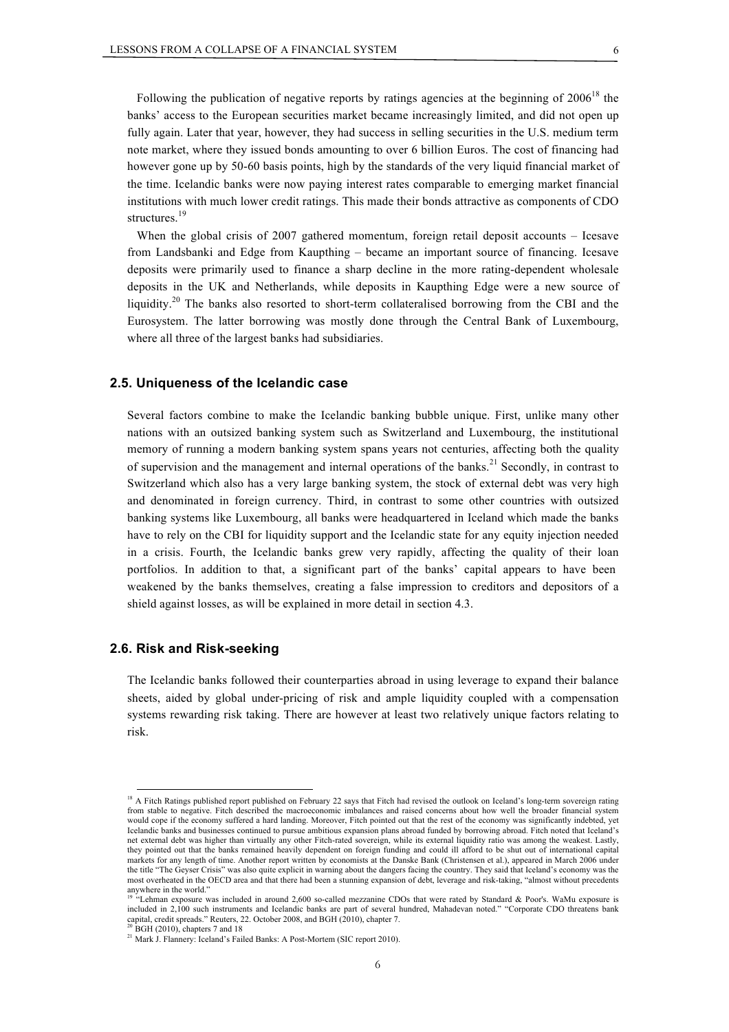Following the publication of negative reports by ratings agencies at the beginning of  $2006^{18}$  the banks' access to the European securities market became increasingly limited, and did not open up fully again. Later that year, however, they had success in selling securities in the U.S. medium term note market, where they issued bonds amounting to over 6 billion Euros. The cost of financing had however gone up by 50-60 basis points, high by the standards of the very liquid financial market of the time. Icelandic banks were now paying interest rates comparable to emerging market financial institutions with much lower credit ratings. This made their bonds attractive as components of CDO structures.<sup>19</sup>

When the global crisis of 2007 gathered momentum, foreign retail deposit accounts – Icesave from Landsbanki and Edge from Kaupthing – became an important source of financing. Icesave deposits were primarily used to finance a sharp decline in the more rating-dependent wholesale deposits in the UK and Netherlands, while deposits in Kaupthing Edge were a new source of liquidity.<sup>20</sup> The banks also resorted to short-term collateralised borrowing from the CBI and the Eurosystem. The latter borrowing was mostly done through the Central Bank of Luxembourg, where all three of the largest banks had subsidiaries.

## **2.5. Uniqueness of the Icelandic case**

Several factors combine to make the Icelandic banking bubble unique. First, unlike many other nations with an outsized banking system such as Switzerland and Luxembourg, the institutional memory of running a modern banking system spans years not centuries, affecting both the quality of supervision and the management and internal operations of the banks.<sup>21</sup> Secondly, in contrast to Switzerland which also has a very large banking system, the stock of external debt was very high and denominated in foreign currency. Third, in contrast to some other countries with outsized banking systems like Luxembourg, all banks were headquartered in Iceland which made the banks have to rely on the CBI for liquidity support and the Icelandic state for any equity injection needed in a crisis. Fourth, the Icelandic banks grew very rapidly, affecting the quality of their loan portfolios. In addition to that, a significant part of the banks' capital appears to have been weakened by the banks themselves, creating a false impression to creditors and depositors of a shield against losses, as will be explained in more detail in section 4.3.

## **2.6. Risk and Risk-seeking**

The Icelandic banks followed their counterparties abroad in using leverage to expand their balance sheets, aided by global under-pricing of risk and ample liquidity coupled with a compensation systems rewarding risk taking. There are however at least two relatively unique factors relating to risk.

<sup>&</sup>lt;sup>18</sup> A Fitch Ratings published report published on February 22 says that Fitch had revised the outlook on Iceland's long-term sovereign rating from stable to negative. Fitch described the macroeconomic imbalances and raised concerns about how well the broader financial system would cope if the economy suffered a hard landing. Moreover, Fitch pointed out that the rest of the economy was significantly indebted, yet Icelandic banks and businesses continued to pursue ambitious expansion plans abroad funded by borrowing abroad. Fitch noted that Iceland's net external debt was higher than virtually any other Fitch-rated sovereign, while its external liquidity ratio was among the weakest. Lastly, they pointed out that the banks remained heavily dependent on foreign funding and could ill afford to be shut out of international capital markets for any length of time. Another report written by economists at the Danske Bank (Christensen et al.), appeared in March 2006 under the title "The Geyser Crisis" was also quite explicit in warning about the dangers facing the country. They said that Iceland's economy was the most overheated in the OECD area and that there had been a stunning expansion of debt, leverage and risk-taking, "almost without precedents anywhere in the world."<br><sup>19</sup> "Lehman exposure was included in around 2,600 so-called mezzanine CDOs that were rated by Standard & Poor's. WaMu exposure is

included in 2,100 such instruments and Icelandic banks are part of several hundred, Mahadevan noted." "Corporate CDO threatens bank capital, credit spreads." Reuters, 22. October 2008, and BGH (2010), chapter 7.  $^{20}$  BGH (2010), chapters 7 and 18

<sup>&</sup>lt;sup>21</sup> Mark J. Flannery: Iceland's Failed Banks: A Post-Mortem (SIC report 2010).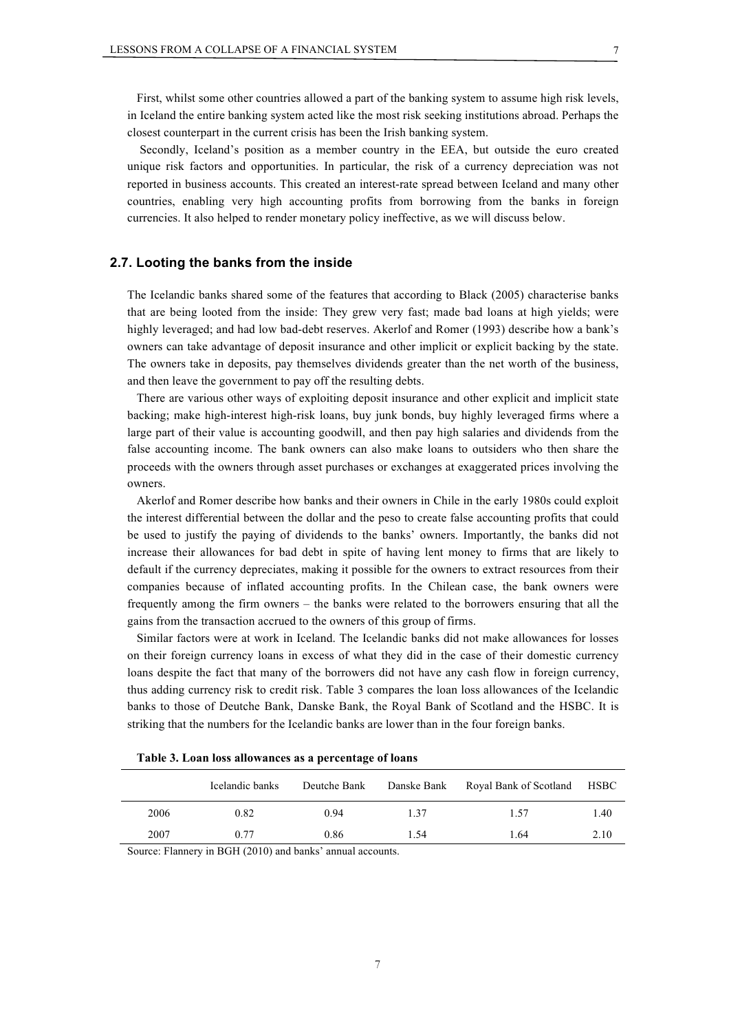First, whilst some other countries allowed a part of the banking system to assume high risk levels, in Iceland the entire banking system acted like the most risk seeking institutions abroad. Perhaps the closest counterpart in the current crisis has been the Irish banking system.

Secondly, Iceland's position as a member country in the EEA, but outside the euro created unique risk factors and opportunities. In particular, the risk of a currency depreciation was not reported in business accounts. This created an interest-rate spread between Iceland and many other countries, enabling very high accounting profits from borrowing from the banks in foreign currencies. It also helped to render monetary policy ineffective, as we will discuss below.

## **2.7. Looting the banks from the inside**

The Icelandic banks shared some of the features that according to Black (2005) characterise banks that are being looted from the inside: They grew very fast; made bad loans at high yields; were highly leveraged; and had low bad-debt reserves. Akerlof and Romer (1993) describe how a bank's owners can take advantage of deposit insurance and other implicit or explicit backing by the state. The owners take in deposits, pay themselves dividends greater than the net worth of the business, and then leave the government to pay off the resulting debts.

There are various other ways of exploiting deposit insurance and other explicit and implicit state backing; make high-interest high-risk loans, buy junk bonds, buy highly leveraged firms where a large part of their value is accounting goodwill, and then pay high salaries and dividends from the false accounting income. The bank owners can also make loans to outsiders who then share the proceeds with the owners through asset purchases or exchanges at exaggerated prices involving the owners.

Akerlof and Romer describe how banks and their owners in Chile in the early 1980s could exploit the interest differential between the dollar and the peso to create false accounting profits that could be used to justify the paying of dividends to the banks' owners. Importantly, the banks did not increase their allowances for bad debt in spite of having lent money to firms that are likely to default if the currency depreciates, making it possible for the owners to extract resources from their companies because of inflated accounting profits. In the Chilean case, the bank owners were frequently among the firm owners – the banks were related to the borrowers ensuring that all the gains from the transaction accrued to the owners of this group of firms.

Similar factors were at work in Iceland. The Icelandic banks did not make allowances for losses on their foreign currency loans in excess of what they did in the case of their domestic currency loans despite the fact that many of the borrowers did not have any cash flow in foreign currency, thus adding currency risk to credit risk. Table 3 compares the loan loss allowances of the Icelandic banks to those of Deutche Bank, Danske Bank, the Royal Bank of Scotland and the HSBC. It is striking that the numbers for the Icelandic banks are lower than in the four foreign banks.

|      | Icelandic banks | Deutche Bank | Danske Bank | Royal Bank of Scotland HSBC |      |
|------|-----------------|--------------|-------------|-----------------------------|------|
| 2006 | 0.82            | 0.94         | 1.37        | 1.57                        | 1.40 |
| 2007 | 0.77            | 0.86         | 1.54        | 1.64                        | 2.10 |
|      |                 |              |             |                             |      |

| Table 3. Loan loss allowances as a percentage of loans |  |  |  |
|--------------------------------------------------------|--|--|--|
|--------------------------------------------------------|--|--|--|

Source: Flannery in BGH (2010) and banks' annual accounts.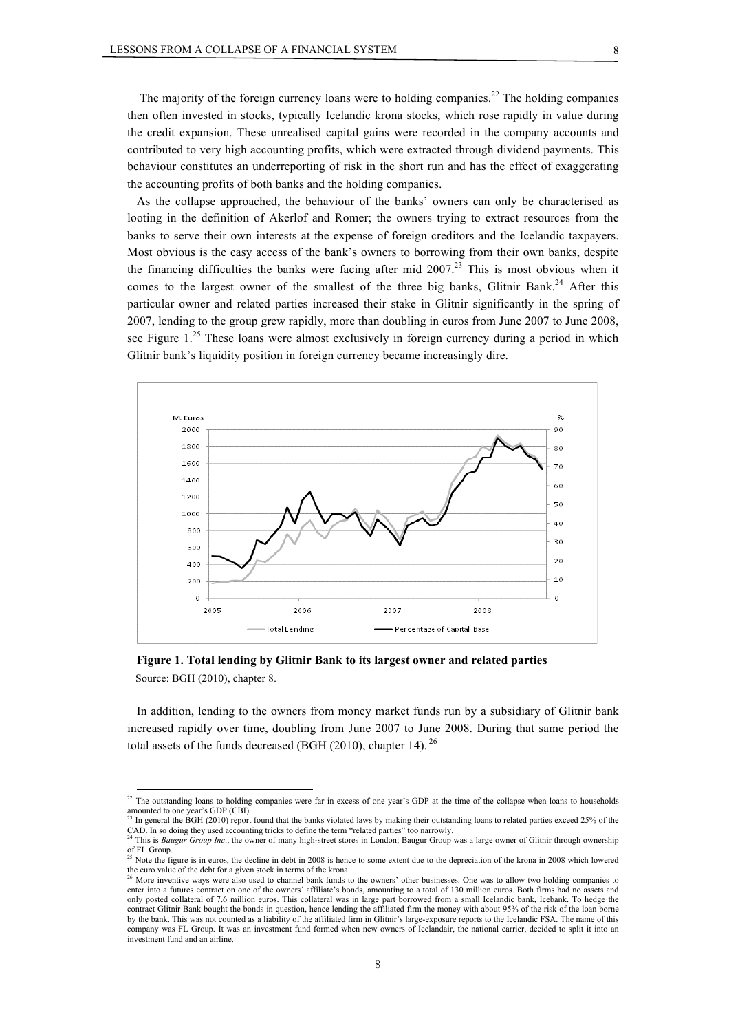The majority of the foreign currency loans were to holding companies.<sup>22</sup> The holding companies then often invested in stocks, typically Icelandic krona stocks, which rose rapidly in value during the credit expansion. These unrealised capital gains were recorded in the company accounts and contributed to very high accounting profits, which were extracted through dividend payments. This behaviour constitutes an underreporting of risk in the short run and has the effect of exaggerating the accounting profits of both banks and the holding companies.

As the collapse approached, the behaviour of the banks' owners can only be characterised as looting in the definition of Akerlof and Romer; the owners trying to extract resources from the banks to serve their own interests at the expense of foreign creditors and the Icelandic taxpayers. Most obvious is the easy access of the bank's owners to borrowing from their own banks, despite the financing difficulties the banks were facing after mid  $2007<sup>23</sup>$  This is most obvious when it comes to the largest owner of the smallest of the three big banks, Glitnir Bank.<sup>24</sup> After this particular owner and related parties increased their stake in Glitnir significantly in the spring of 2007, lending to the group grew rapidly, more than doubling in euros from June 2007 to June 2008, see Figure 1.<sup>25</sup> These loans were almost exclusively in foreign currency during a period in which Glitnir bank's liquidity position in foreign currency became increasingly dire.



## **Figure 1. Total lending by Glitnir Bank to its largest owner and related parties** Source: BGH (2010), chapter 8.

In addition, lending to the owners from money market funds run by a subsidiary of Glitnir bank increased rapidly over time, doubling from June 2007 to June 2008. During that same period the total assets of the funds decreased (BGH  $(2010)$ , chapter 14). <sup>26</sup>

<sup>&</sup>lt;sup>22</sup> The outstanding loans to holding companies were far in excess of one year's GDP at the time of the collapse when loans to households amounted to one year's GDP (CBI).

 $^{23}$  In general the BGH (2010) report found that the banks violated laws by making their outstanding loans to related parties exceed 25% of the CAD. In so doing they used accounting tricks to define the term "related parties" too narrowly.<br><sup>24</sup> This is *Dependent Counting*, the summer of narrowlish strait terms in Lenden; Depend County

<sup>24</sup> This is *Baugur Group Inc*., the owner of many high-street stores in London; Baugur Group was a large owner of Glitnir through ownership of FL Group.

<sup>&</sup>lt;sup>25</sup> Note the figure is in euros, the decline in debt in 2008 is hence to some extent due to the depreciation of the krona in 2008 which lowered the euro value of the debt for a given stock in terms of the krona.

 $6$  More inventive ways were also used to channel bank funds to the owners' other businesses. One was to allow two holding companies to enter into a futures contract on one of the owners´ affiliate's bonds, amounting to a total of 130 million euros. Both firms had no assets and only posted collateral of 7.6 million euros. This collateral was in large part borrowed from a small Icelandic bank, Icebank. To hedge the contract Glitnir Bank bought the bonds in question, hence lending the affiliated firm the money with about 95% of the risk of the loan borne by the bank. This was not counted as a liability of the affiliated firm in Glitnir's large-exposure reports to the Icelandic FSA. The name of this company was FL Group. It was an investment fund formed when new owners of Icelandair, the national carrier, decided to split it into an investment fund and an airline.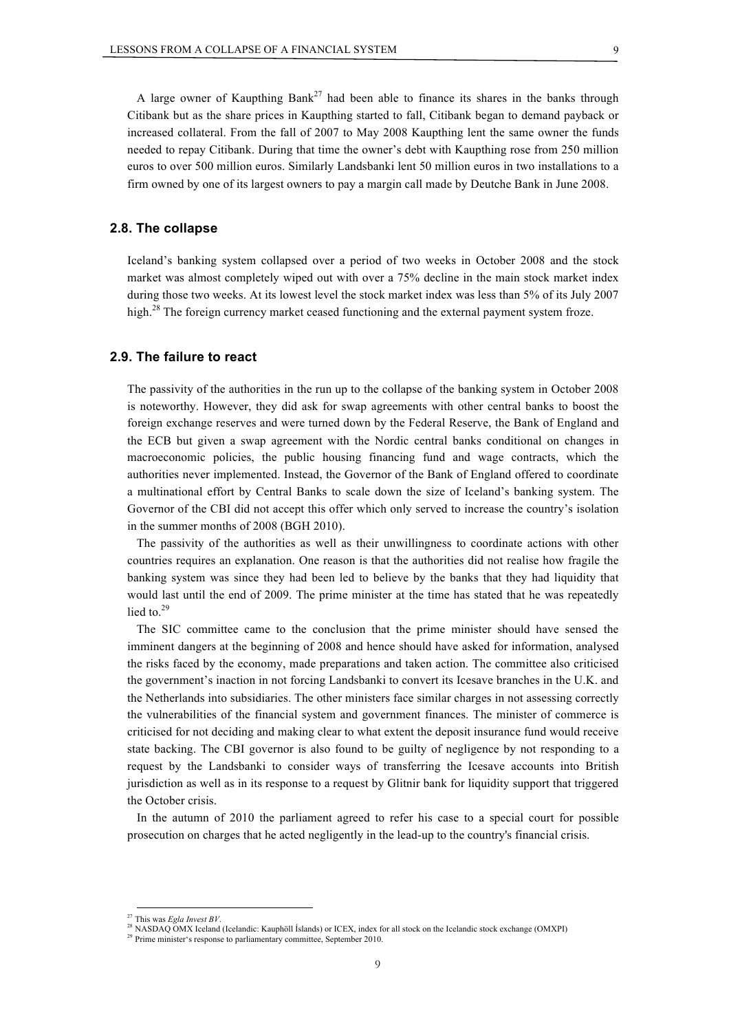A large owner of Kaupthing Bank<sup>27</sup> had been able to finance its shares in the banks through Citibank but as the share prices in Kaupthing started to fall, Citibank began to demand payback or increased collateral. From the fall of 2007 to May 2008 Kaupthing lent the same owner the funds needed to repay Citibank. During that time the owner's debt with Kaupthing rose from 250 million euros to over 500 million euros. Similarly Landsbanki lent 50 million euros in two installations to a firm owned by one of its largest owners to pay a margin call made by Deutche Bank in June 2008.

## **2.8. The collapse**

Iceland's banking system collapsed over a period of two weeks in October 2008 and the stock market was almost completely wiped out with over a 75% decline in the main stock market index during those two weeks. At its lowest level the stock market index was less than 5% of its July 2007 high.<sup>28</sup> The foreign currency market ceased functioning and the external payment system froze.

## **2.9. The failure to react**

The passivity of the authorities in the run up to the collapse of the banking system in October 2008 is noteworthy. However, they did ask for swap agreements with other central banks to boost the foreign exchange reserves and were turned down by the Federal Reserve, the Bank of England and the ECB but given a swap agreement with the Nordic central banks conditional on changes in macroeconomic policies, the public housing financing fund and wage contracts, which the authorities never implemented. Instead, the Governor of the Bank of England offered to coordinate a multinational effort by Central Banks to scale down the size of Iceland's banking system. The Governor of the CBI did not accept this offer which only served to increase the country's isolation in the summer months of 2008 (BGH 2010).

The passivity of the authorities as well as their unwillingness to coordinate actions with other countries requires an explanation. One reason is that the authorities did not realise how fragile the banking system was since they had been led to believe by the banks that they had liquidity that would last until the end of 2009. The prime minister at the time has stated that he was repeatedly lied to. $^{29}$ 

The SIC committee came to the conclusion that the prime minister should have sensed the imminent dangers at the beginning of 2008 and hence should have asked for information, analysed the risks faced by the economy, made preparations and taken action. The committee also criticised the government's inaction in not forcing Landsbanki to convert its Icesave branches in the U.K. and the Netherlands into subsidiaries. The other ministers face similar charges in not assessing correctly the vulnerabilities of the financial system and government finances. The minister of commerce is criticised for not deciding and making clear to what extent the deposit insurance fund would receive state backing. The CBI governor is also found to be guilty of negligence by not responding to a request by the Landsbanki to consider ways of transferring the Icesave accounts into British jurisdiction as well as in its response to a request by Glitnir bank for liquidity support that triggered the October crisis.

In the autumn of 2010 the parliament agreed to refer his case to a special court for possible prosecution on charges that he acted negligently in the lead-up to the country's financial crisis.

<sup>&</sup>lt;sup>27</sup> This was *Egla Invest BV*.<br><sup>28</sup> NASDAQ OMX Iceland (Icelandic: Kauphöll Íslands) or ICEX, index for all stock on the Icelandic stock exchange (OMXPI)

<sup>&</sup>lt;sup>29</sup> Prime minister's response to parliamentary committee, September 2010.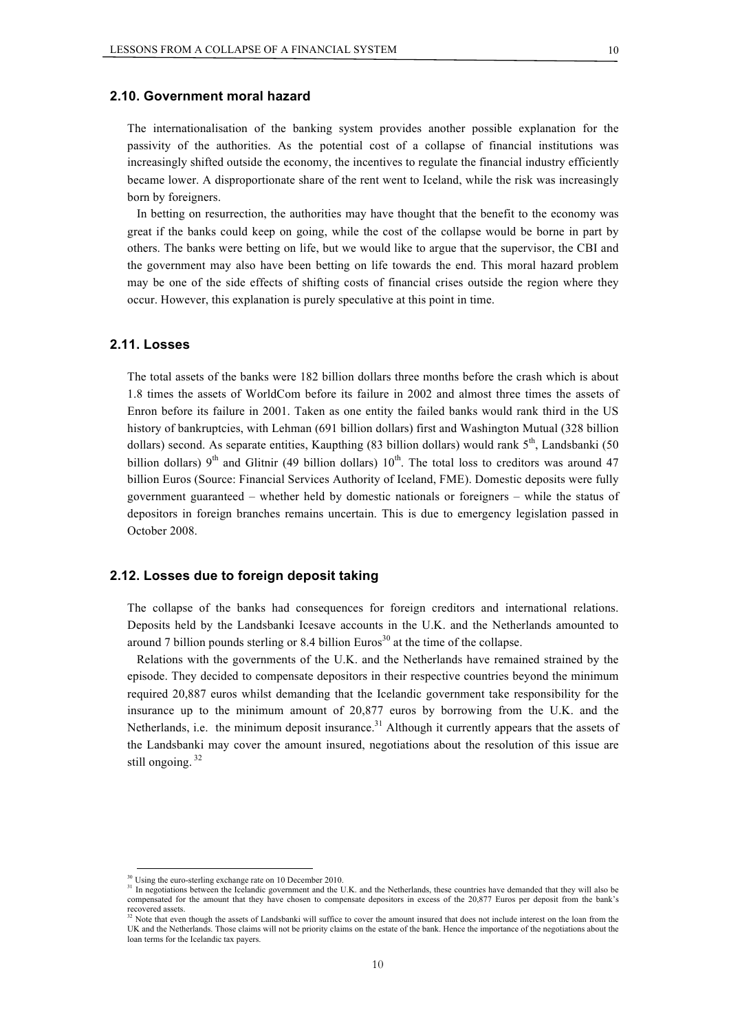#### **2.10. Government moral hazard**

The internationalisation of the banking system provides another possible explanation for the passivity of the authorities. As the potential cost of a collapse of financial institutions was increasingly shifted outside the economy, the incentives to regulate the financial industry efficiently became lower. A disproportionate share of the rent went to Iceland, while the risk was increasingly born by foreigners.

In betting on resurrection, the authorities may have thought that the benefit to the economy was great if the banks could keep on going, while the cost of the collapse would be borne in part by others. The banks were betting on life, but we would like to argue that the supervisor, the CBI and the government may also have been betting on life towards the end. This moral hazard problem may be one of the side effects of shifting costs of financial crises outside the region where they occur. However, this explanation is purely speculative at this point in time.

## **2.11. Losses**

The total assets of the banks were 182 billion dollars three months before the crash which is about 1.8 times the assets of WorldCom before its failure in 2002 and almost three times the assets of Enron before its failure in 2001. Taken as one entity the failed banks would rank third in the US history of bankruptcies, with Lehman (691 billion dollars) first and Washington Mutual (328 billion dollars) second. As separate entities, Kaupthing (83 billion dollars) would rank  $5<sup>th</sup>$ , Landsbanki (50 billion dollars)  $9<sup>th</sup>$  and Glitnir (49 billion dollars)  $10<sup>th</sup>$ . The total loss to creditors was around 47 billion Euros (Source: Financial Services Authority of Iceland, FME). Domestic deposits were fully government guaranteed – whether held by domestic nationals or foreigners – while the status of depositors in foreign branches remains uncertain. This is due to emergency legislation passed in October 2008.

## **2.12. Losses due to foreign deposit taking**

The collapse of the banks had consequences for foreign creditors and international relations. Deposits held by the Landsbanki Icesave accounts in the U.K. and the Netherlands amounted to around 7 billion pounds sterling or 8.4 billion Euros<sup>30</sup> at the time of the collapse.

Relations with the governments of the U.K. and the Netherlands have remained strained by the episode. They decided to compensate depositors in their respective countries beyond the minimum required 20,887 euros whilst demanding that the Icelandic government take responsibility for the insurance up to the minimum amount of 20,877 euros by borrowing from the U.K. and the Netherlands, i.e. the minimum deposit insurance.<sup>31</sup> Although it currently appears that the assets of the Landsbanki may cover the amount insured, negotiations about the resolution of this issue are still ongoing.<sup>32</sup>

 $30$  Using the euro-sterling exchange rate on 10 December 2010.<br> $31$  In negotiations between the Icelandic government and the U.K. and the Netherlands, these countries have demanded that they will also be compensated for the amount that they have chosen to compensate depositors in excess of the 20,877 Euros per deposit from the bank's recovered assets.<br><sup>32</sup> Note that even though the assets of Landsbanki will suffice to cover the amount insured that does not include interest on the loan from the

UK and the Netherlands. Those claims will not be priority claims on the estate of the bank. Hence the importance of the negotiations about the loan terms for the Icelandic tax payers.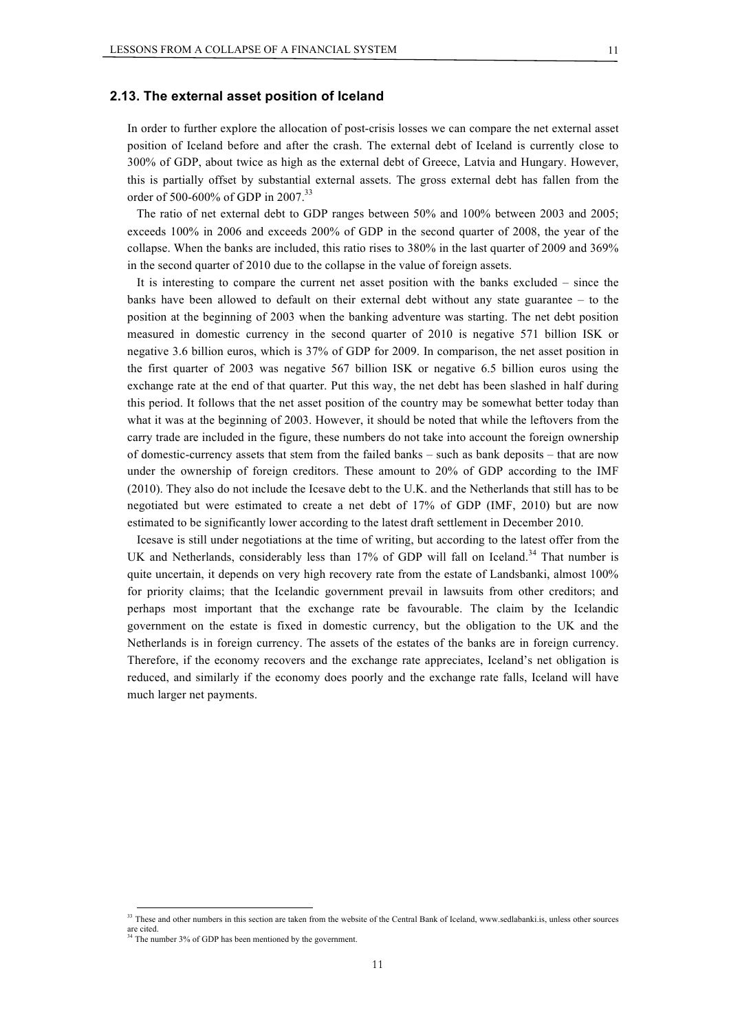## **2.13. The external asset position of Iceland**

In order to further explore the allocation of post-crisis losses we can compare the net external asset position of Iceland before and after the crash. The external debt of Iceland is currently close to 300% of GDP, about twice as high as the external debt of Greece, Latvia and Hungary. However, this is partially offset by substantial external assets. The gross external debt has fallen from the order of 500-600% of GDP in 2007.<sup>33</sup>

The ratio of net external debt to GDP ranges between 50% and 100% between 2003 and 2005; exceeds 100% in 2006 and exceeds 200% of GDP in the second quarter of 2008, the year of the collapse. When the banks are included, this ratio rises to 380% in the last quarter of 2009 and 369% in the second quarter of 2010 due to the collapse in the value of foreign assets.

It is interesting to compare the current net asset position with the banks excluded – since the banks have been allowed to default on their external debt without any state guarantee – to the position at the beginning of 2003 when the banking adventure was starting. The net debt position measured in domestic currency in the second quarter of 2010 is negative 571 billion ISK or negative 3.6 billion euros, which is 37% of GDP for 2009. In comparison, the net asset position in the first quarter of 2003 was negative 567 billion ISK or negative 6.5 billion euros using the exchange rate at the end of that quarter. Put this way, the net debt has been slashed in half during this period. It follows that the net asset position of the country may be somewhat better today than what it was at the beginning of 2003. However, it should be noted that while the leftovers from the carry trade are included in the figure, these numbers do not take into account the foreign ownership of domestic-currency assets that stem from the failed banks – such as bank deposits – that are now under the ownership of foreign creditors. These amount to 20% of GDP according to the IMF (2010). They also do not include the Icesave debt to the U.K. and the Netherlands that still has to be negotiated but were estimated to create a net debt of 17% of GDP (IMF, 2010) but are now estimated to be significantly lower according to the latest draft settlement in December 2010.

Icesave is still under negotiations at the time of writing, but according to the latest offer from the UK and Netherlands, considerably less than 17% of GDP will fall on Iceland.<sup>34</sup> That number is quite uncertain, it depends on very high recovery rate from the estate of Landsbanki, almost 100% for priority claims; that the Icelandic government prevail in lawsuits from other creditors; and perhaps most important that the exchange rate be favourable. The claim by the Icelandic government on the estate is fixed in domestic currency, but the obligation to the UK and the Netherlands is in foreign currency. The assets of the estates of the banks are in foreign currency. Therefore, if the economy recovers and the exchange rate appreciates, Iceland's net obligation is reduced, and similarly if the economy does poorly and the exchange rate falls, Iceland will have much larger net payments.

<sup>&</sup>lt;sup>33</sup> These and other numbers in this section are taken from the website of the Central Bank of Iceland, www.sedlabanki.is, unless other sources are cited.

<sup>&</sup>lt;sup>34</sup> The number 3% of GDP has been mentioned by the government.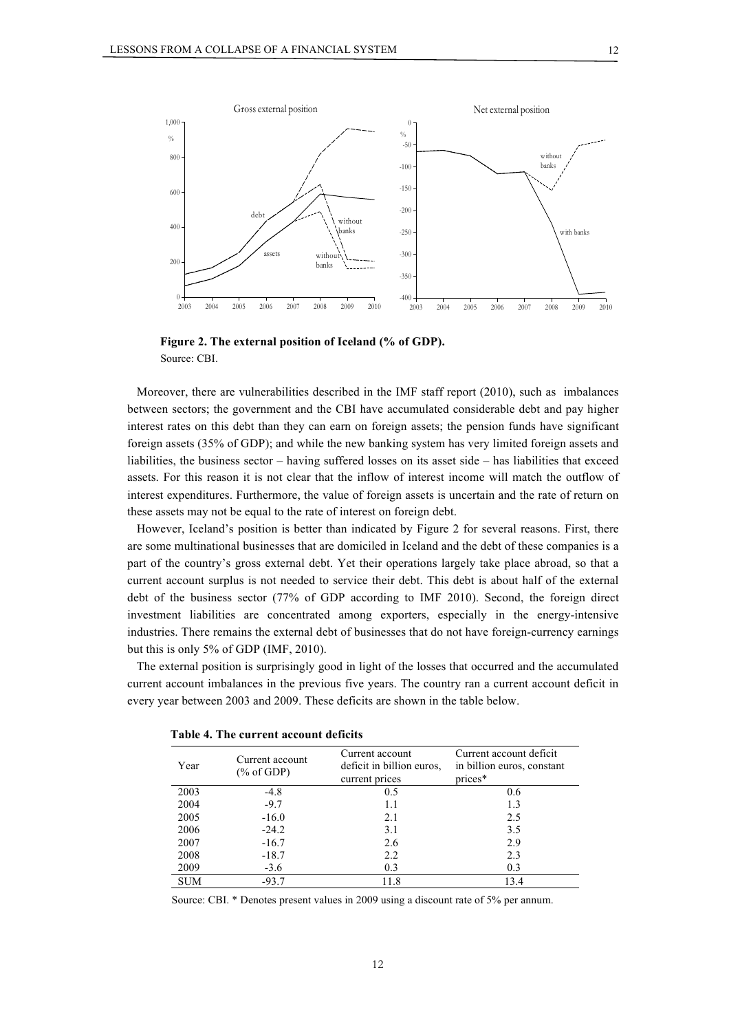

 **Figure 2. The external position of Iceland (% of GDP).**  Source: CBI.

Moreover, there are vulnerabilities described in the IMF staff report (2010), such as imbalances between sectors; the government and the CBI have accumulated considerable debt and pay higher interest rates on this debt than they can earn on foreign assets; the pension funds have significant foreign assets (35% of GDP); and while the new banking system has very limited foreign assets and liabilities, the business sector – having suffered losses on its asset side – has liabilities that exceed assets. For this reason it is not clear that the inflow of interest income will match the outflow of interest expenditures. Furthermore, the value of foreign assets is uncertain and the rate of return on these assets may not be equal to the rate of interest on foreign debt.

However, Iceland's position is better than indicated by Figure 2 for several reasons. First, there are some multinational businesses that are domiciled in Iceland and the debt of these companies is a part of the country's gross external debt. Yet their operations largely take place abroad, so that a current account surplus is not needed to service their debt. This debt is about half of the external debt of the business sector (77% of GDP according to IMF 2010). Second, the foreign direct investment liabilities are concentrated among exporters, especially in the energy-intensive industries. There remains the external debt of businesses that do not have foreign-currency earnings but this is only 5% of GDP (IMF, 2010).

The external position is surprisingly good in light of the losses that occurred and the accumulated current account imbalances in the previous five years. The country ran a current account deficit in every year between 2003 and 2009. These deficits are shown in the table below.

| Year       | Current account<br>$(\% \text{ of GDP})$ | Current account<br>deficit in billion euros.<br>current prices | Current account deficit<br>in billion euros, constant<br>prices* |
|------------|------------------------------------------|----------------------------------------------------------------|------------------------------------------------------------------|
| 2003       | $-4.8$                                   | 0.5                                                            | 0.6                                                              |
| 2004       | $-9.7$                                   | 1.1                                                            | 1.3                                                              |
| 2005       | $-16.0$                                  | 2.1                                                            | 2.5                                                              |
| 2006       | $-24.2$                                  | 3.1                                                            | 3.5                                                              |
| 2007       | $-16.7$                                  | 2.6                                                            | 2.9                                                              |
| 2008       | $-18.7$                                  | 2.2                                                            | 2.3                                                              |
| 2009       | $-3.6$                                   | 0.3                                                            | 0.3                                                              |
| <b>SUM</b> | $-93.7$                                  | 11.8                                                           | 13.4                                                             |

 **Table 4. The current account deficits**

Source: CBI. \* Denotes present values in 2009 using a discount rate of 5% per annum.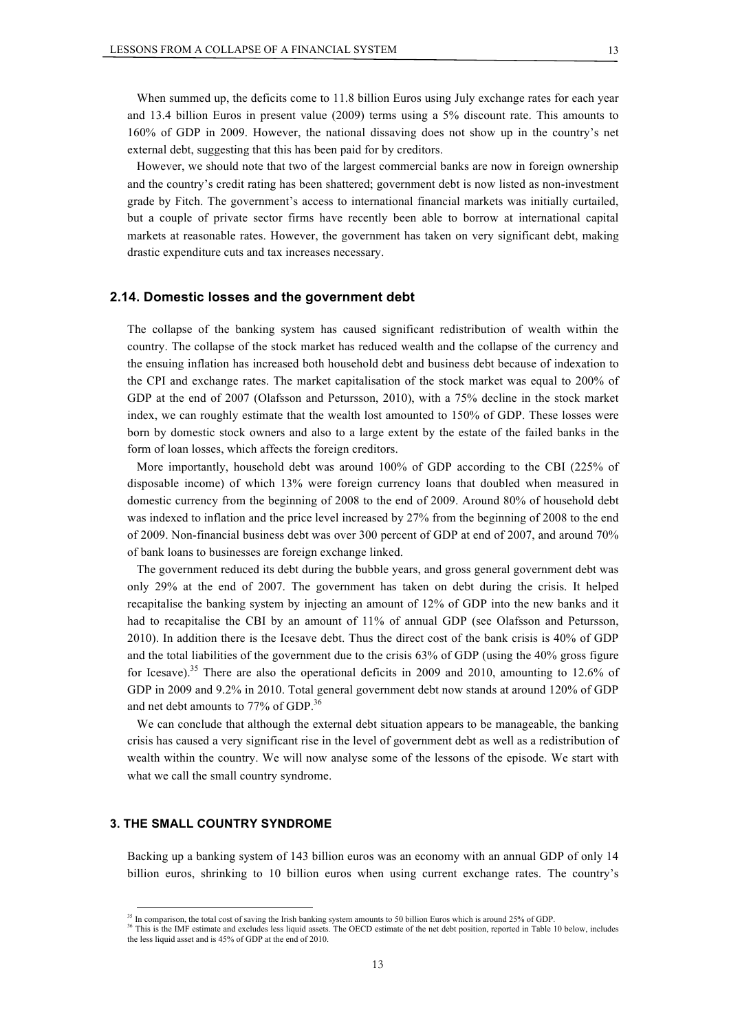When summed up, the deficits come to 11.8 billion Euros using July exchange rates for each year and 13.4 billion Euros in present value (2009) terms using a 5% discount rate. This amounts to 160% of GDP in 2009. However, the national dissaving does not show up in the country's net external debt, suggesting that this has been paid for by creditors.

However, we should note that two of the largest commercial banks are now in foreign ownership and the country's credit rating has been shattered; government debt is now listed as non-investment grade by Fitch. The government's access to international financial markets was initially curtailed, but a couple of private sector firms have recently been able to borrow at international capital markets at reasonable rates. However, the government has taken on very significant debt, making drastic expenditure cuts and tax increases necessary.

## **2.14. Domestic losses and the government debt**

The collapse of the banking system has caused significant redistribution of wealth within the country. The collapse of the stock market has reduced wealth and the collapse of the currency and the ensuing inflation has increased both household debt and business debt because of indexation to the CPI and exchange rates. The market capitalisation of the stock market was equal to 200% of GDP at the end of 2007 (Olafsson and Petursson, 2010), with a 75% decline in the stock market index, we can roughly estimate that the wealth lost amounted to 150% of GDP. These losses were born by domestic stock owners and also to a large extent by the estate of the failed banks in the form of loan losses, which affects the foreign creditors.

More importantly, household debt was around 100% of GDP according to the CBI (225% of disposable income) of which 13% were foreign currency loans that doubled when measured in domestic currency from the beginning of 2008 to the end of 2009. Around 80% of household debt was indexed to inflation and the price level increased by 27% from the beginning of 2008 to the end of 2009. Non-financial business debt was over 300 percent of GDP at end of 2007, and around 70% of bank loans to businesses are foreign exchange linked.

The government reduced its debt during the bubble years, and gross general government debt was only 29% at the end of 2007. The government has taken on debt during the crisis. It helped recapitalise the banking system by injecting an amount of 12% of GDP into the new banks and it had to recapitalise the CBI by an amount of 11% of annual GDP (see Olafsson and Petursson, 2010). In addition there is the Icesave debt. Thus the direct cost of the bank crisis is 40% of GDP and the total liabilities of the government due to the crisis 63% of GDP (using the 40% gross figure for Icesave).<sup>35</sup> There are also the operational deficits in 2009 and 2010, amounting to 12.6% of GDP in 2009 and 9.2% in 2010. Total general government debt now stands at around 120% of GDP and net debt amounts to 77% of GDP.<sup>36</sup>

We can conclude that although the external debt situation appears to be manageable, the banking crisis has caused a very significant rise in the level of government debt as well as a redistribution of wealth within the country. We will now analyse some of the lessons of the episode. We start with what we call the small country syndrome.

## **3. THE SMALL COUNTRY SYNDROME**

Backing up a banking system of 143 billion euros was an economy with an annual GDP of only 14 billion euros, shrinking to 10 billion euros when using current exchange rates. The country's

 $^{35}$  In comparison, the total cost of saving the Irish banking system amounts to 50 billion Euros which is around 25% of GDP.<br><sup>36</sup> This is the IMF estimate and excludes less liquid assets. The OECD estimate of the net d the less liquid asset and is 45% of GDP at the end of 2010.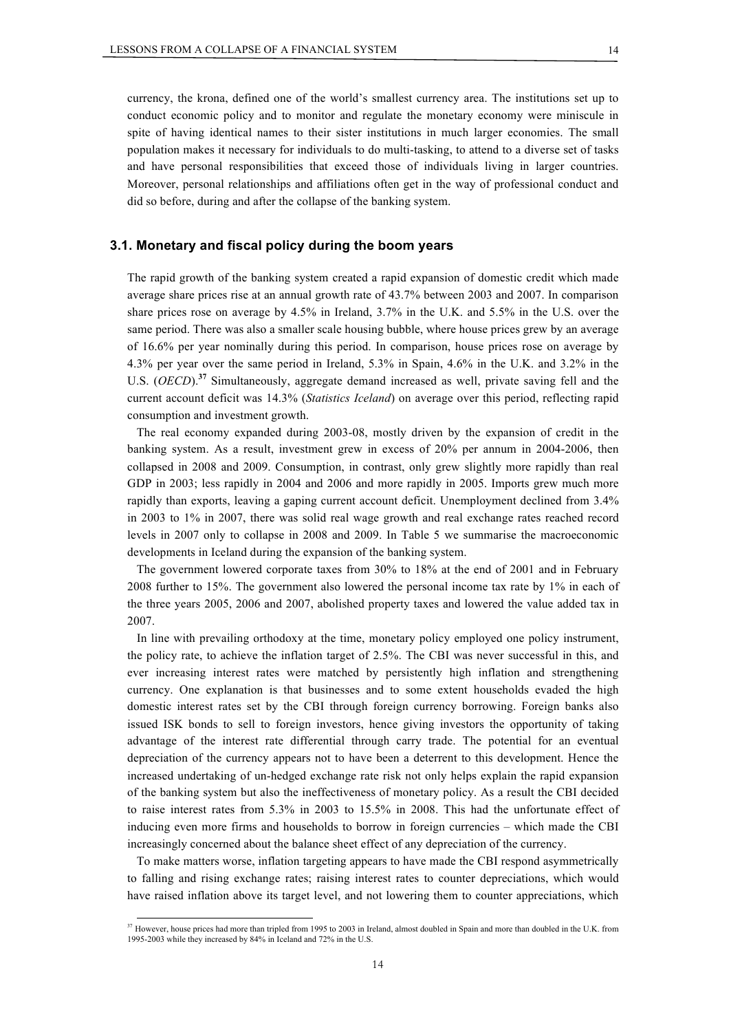currency, the krona, defined one of the world's smallest currency area. The institutions set up to conduct economic policy and to monitor and regulate the monetary economy were miniscule in spite of having identical names to their sister institutions in much larger economies. The small population makes it necessary for individuals to do multi-tasking, to attend to a diverse set of tasks and have personal responsibilities that exceed those of individuals living in larger countries. Moreover, personal relationships and affiliations often get in the way of professional conduct and did so before, during and after the collapse of the banking system.

## **3.1. Monetary and fiscal policy during the boom years**

The rapid growth of the banking system created a rapid expansion of domestic credit which made average share prices rise at an annual growth rate of 43.7% between 2003 and 2007. In comparison share prices rose on average by 4.5% in Ireland, 3.7% in the U.K. and 5.5% in the U.S. over the same period. There was also a smaller scale housing bubble, where house prices grew by an average of 16.6% per year nominally during this period. In comparison, house prices rose on average by 4.3% per year over the same period in Ireland, 5.3% in Spain, 4.6% in the U.K. and 3.2% in the U.S. (*OECD*).**<sup>37</sup>** Simultaneously, aggregate demand increased as well, private saving fell and the current account deficit was 14.3% (*Statistics Iceland*) on average over this period, reflecting rapid consumption and investment growth.

The real economy expanded during 2003-08, mostly driven by the expansion of credit in the banking system. As a result, investment grew in excess of 20% per annum in 2004-2006, then collapsed in 2008 and 2009. Consumption, in contrast, only grew slightly more rapidly than real GDP in 2003; less rapidly in 2004 and 2006 and more rapidly in 2005. Imports grew much more rapidly than exports, leaving a gaping current account deficit. Unemployment declined from 3.4% in 2003 to 1% in 2007, there was solid real wage growth and real exchange rates reached record levels in 2007 only to collapse in 2008 and 2009. In Table 5 we summarise the macroeconomic developments in Iceland during the expansion of the banking system.

The government lowered corporate taxes from 30% to 18% at the end of 2001 and in February 2008 further to 15%. The government also lowered the personal income tax rate by 1% in each of the three years 2005, 2006 and 2007, abolished property taxes and lowered the value added tax in 2007.

In line with prevailing orthodoxy at the time, monetary policy employed one policy instrument, the policy rate, to achieve the inflation target of 2.5%. The CBI was never successful in this, and ever increasing interest rates were matched by persistently high inflation and strengthening currency. One explanation is that businesses and to some extent households evaded the high domestic interest rates set by the CBI through foreign currency borrowing. Foreign banks also issued ISK bonds to sell to foreign investors, hence giving investors the opportunity of taking advantage of the interest rate differential through carry trade. The potential for an eventual depreciation of the currency appears not to have been a deterrent to this development. Hence the increased undertaking of un-hedged exchange rate risk not only helps explain the rapid expansion of the banking system but also the ineffectiveness of monetary policy. As a result the CBI decided to raise interest rates from 5.3% in 2003 to 15.5% in 2008. This had the unfortunate effect of inducing even more firms and households to borrow in foreign currencies – which made the CBI increasingly concerned about the balance sheet effect of any depreciation of the currency.

To make matters worse, inflation targeting appears to have made the CBI respond asymmetrically to falling and rising exchange rates; raising interest rates to counter depreciations, which would have raised inflation above its target level, and not lowering them to counter appreciations, which

<sup>&</sup>lt;sup>37</sup> However, house prices had more than tripled from 1995 to 2003 in Ireland, almost doubled in Spain and more than doubled in the U.K. from 1995-2003 while they increased by 84% in Iceland and 72% in the U.S.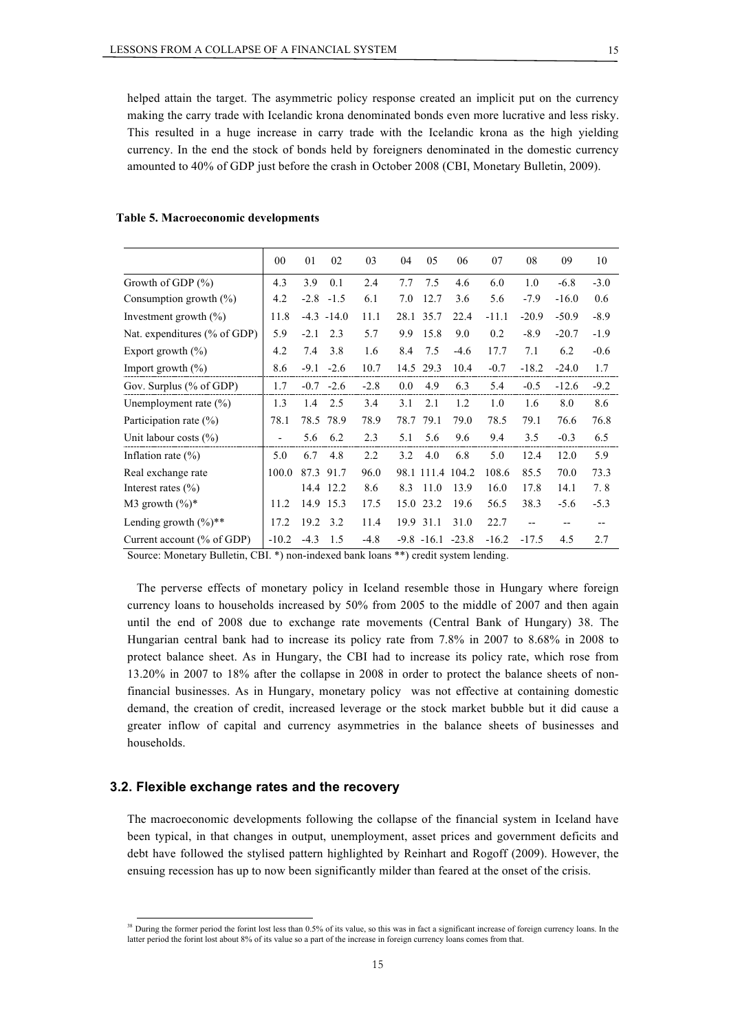helped attain the target. The asymmetric policy response created an implicit put on the currency making the carry trade with Icelandic krona denominated bonds even more lucrative and less risky. This resulted in a huge increase in carry trade with the Icelandic krona as the high yielding currency. In the end the stock of bonds held by foreigners denominated in the domestic currency amounted to 40% of GDP just before the crash in October 2008 (CBI, Monetary Bulletin, 2009).

|                              | 00             | 01     | 02            | 03     | 04   | 05                     | 06               | 07      | 08      | 09      | 10                |
|------------------------------|----------------|--------|---------------|--------|------|------------------------|------------------|---------|---------|---------|-------------------|
| Growth of GDP $(\% )$        | 4.3            | 3.9    | 0.1           | 2.4    | 7.7  | 7.5                    | 4.6              | 6.0     | 1.0     | $-6.8$  | $-3.0$            |
| Consumption growth $(\%)$    | 4.2            |        | $-2.8$ $-1.5$ | 6.1    | 7.0  | 12.7                   | 3.6              | 5.6     | $-7.9$  | $-16.0$ | 0.6               |
| Investment growth $(\%)$     | 11.8           |        | $-4.3 -14.0$  | 11.1   | 28.1 | 35.7                   | 22.4             | $-11.1$ | $-20.9$ | $-50.9$ | $-8.9$            |
| Nat. expenditures (% of GDP) | 5.9            | $-2.1$ | 2.3           | 5.7    | 9.9  | 15.8                   | 9.0              | 0.2     | $-8.9$  | $-20.7$ | $-1.9$            |
| Export growth $(\% )$        | 4.2            | 7.4    | 3.8           | 1.6    | 8.4  | 7.5                    | $-4.6$           | 17.7    | 7.1     | 6.2     | $-0.6$            |
| Import growth (%)            | 8.6            | $-9.1$ | $-2.6$        | 10.7   |      | 14.5 29.3              | 10.4             | $-0.7$  | $-18.2$ | $-24.0$ | 1.7               |
| Gov. Surplus (% of GDP)      | 1.7            | $-0.7$ | $-2.6$        | $-2.8$ | 0.0  | 4.9                    | 6.3              | 5.4     | $-0.5$  | $-12.6$ | $-9.2$            |
| Unemployment rate $(\% )$    | 1.3            | 1.4    | 2.5           | 3.4    | 3.1  | 2.1                    | 1.2              | 1.0     | 1.6     | 8.0     | 8.6               |
| Participation rate $(\% )$   | 78.1           | 78.5   | 78.9          | 78.9   | 78.7 | 79.1                   | 79.0             | 78.5    | 79.1    | 76.6    | 76.8              |
| Unit labour costs $(\% )$    | $\blacksquare$ | 5.6    | 6.2           | 2.3    | 5.1  | 5.6                    | 9.6              | 9.4     | 3.5     | $-0.3$  | 6.5               |
| Inflation rate $(\% )$       | 5.0            | 6.7    | 4.8           | 2.2    | 3.2  | 4.0                    | 6.8              | 5.0     | 12.4    | 12.0    | 5.9               |
| Real exchange rate           | 100.0          | 87.3   | 91.7          | 96.0   |      |                        | 98.1 111.4 104.2 | 108.6   | 85.5    | 70.0    | 73.3              |
| Interest rates $(\% )$       |                |        | 14.4 12.2     | 8.6    | 8.3  | 11.0                   | 13.9             | 16.0    | 17.8    | 14.1    | 7.8               |
| M3 growth $(\%)^*$           | 11.2           |        | 14.9 15.3     | 17.5   |      | 15.0 23.2              | 19.6             | 56.5    | 38.3    | $-5.6$  | $-5.3$            |
| Lending growth $(\%)$ **     | 17.2           | 19.2   | 3.2           | 11.4   | 19.9 | 31.1                   | 31.0             | 22.7    | $-$     | $- -$   | $\qquad \qquad -$ |
| Current account (% of GDP)   | $-10.2$        | $-4.3$ | 1.5           | $-4.8$ |      | $-9.8$ $-16.1$ $-23.8$ |                  | $-16.2$ | $-17.5$ | 4.5     | 2.7               |

#### **Table 5. Macroeconomic developments**

Source: Monetary Bulletin, CBI. \*) non-indexed bank loans \*\*) credit system lending.

The perverse effects of monetary policy in Iceland resemble those in Hungary where foreign currency loans to households increased by 50% from 2005 to the middle of 2007 and then again until the end of 2008 due to exchange rate movements (Central Bank of Hungary) 38. The Hungarian central bank had to increase its policy rate from 7.8% in 2007 to 8.68% in 2008 to protect balance sheet. As in Hungary, the CBI had to increase its policy rate, which rose from 13.20% in 2007 to 18% after the collapse in 2008 in order to protect the balance sheets of nonfinancial businesses. As in Hungary, monetary policy was not effective at containing domestic demand, the creation of credit, increased leverage or the stock market bubble but it did cause a greater inflow of capital and currency asymmetries in the balance sheets of businesses and households.

## **3.2. Flexible exchange rates and the recovery**

The macroeconomic developments following the collapse of the financial system in Iceland have been typical, in that changes in output, unemployment, asset prices and government deficits and debt have followed the stylised pattern highlighted by Reinhart and Rogoff (2009). However, the ensuing recession has up to now been significantly milder than feared at the onset of the crisis.

<sup>&</sup>lt;sup>38</sup> During the former period the forint lost less than 0.5% of its value, so this was in fact a significant increase of foreign currency loans. In the latter period the forint lost about 8% of its value so a part of the increase in foreign currency loans comes from that.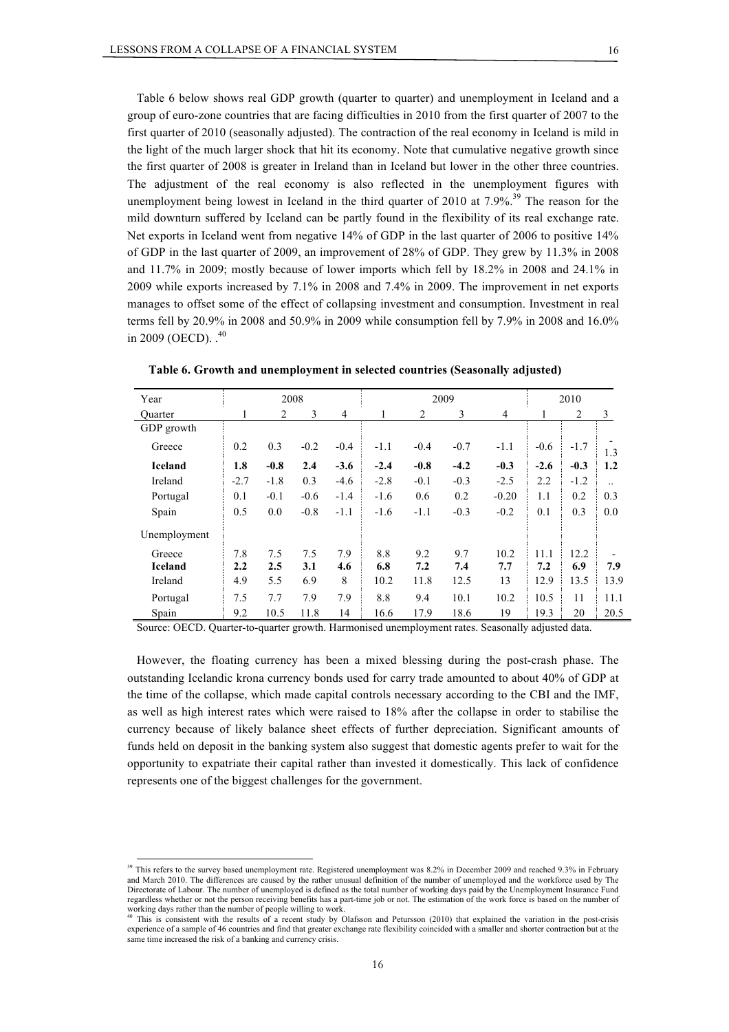Table 6 below shows real GDP growth (quarter to quarter) and unemployment in Iceland and a group of euro-zone countries that are facing difficulties in 2010 from the first quarter of 2007 to the first quarter of 2010 (seasonally adjusted). The contraction of the real economy in Iceland is mild in the light of the much larger shock that hit its economy. Note that cumulative negative growth since the first quarter of 2008 is greater in Ireland than in Iceland but lower in the other three countries. The adjustment of the real economy is also reflected in the unemployment figures with unemployment being lowest in Iceland in the third quarter of 2010 at 7.9%.<sup>39</sup> The reason for the mild downturn suffered by Iceland can be partly found in the flexibility of its real exchange rate. Net exports in Iceland went from negative 14% of GDP in the last quarter of 2006 to positive 14% of GDP in the last quarter of 2009, an improvement of 28% of GDP. They grew by 11.3% in 2008 and 11.7% in 2009; mostly because of lower imports which fell by 18.2% in 2008 and 24.1% in 2009 while exports increased by 7.1% in 2008 and 7.4% in 2009. The improvement in net exports manages to offset some of the effect of collapsing investment and consumption. Investment in real terms fell by 20.9% in 2008 and 50.9% in 2009 while consumption fell by 7.9% in 2008 and 16.0% in 2009 (OECD).  $^{40}$ 

| Year           |        |        | 2008   |        |        |        | 2009   |         |        | 2010   |      |
|----------------|--------|--------|--------|--------|--------|--------|--------|---------|--------|--------|------|
| <b>Ouarter</b> | 1      | 2      | 3      | 4      | 1      | 2      | 3      | 4       | 1      | 2      | 3    |
| GDP growth     |        |        |        |        |        |        |        |         |        |        |      |
| Greece         | 0.2    | 0.3    | $-0.2$ | $-0.4$ | $-1.1$ | $-0.4$ | $-0.7$ | $-1.1$  | $-0.6$ | $-1.7$ | 1.3  |
| <b>Iceland</b> | 1.8    | $-0.8$ | 2.4    | $-3.6$ | $-2.4$ | $-0.8$ | $-4.2$ | $-0.3$  | $-2.6$ | $-0.3$ | 1.2  |
| Ireland        | $-2.7$ | $-1.8$ | 0.3    | $-4.6$ | $-2.8$ | $-0.1$ | $-0.3$ | $-2.5$  | 2.2    | $-1.2$ |      |
| Portugal       | 0.1    | $-0.1$ | $-0.6$ | $-1.4$ | $-1.6$ | 0.6    | 0.2    | $-0.20$ | 1.1    | 0.2    | 0.3  |
| Spain          | 0.5    | 0.0    | $-0.8$ | $-1.1$ | $-1.6$ | $-1.1$ | $-0.3$ | $-0.2$  | 0.1    | 0.3    | 0.0  |
| Unemployment   |        |        |        |        |        |        |        |         |        |        |      |
| Greece         | 7.8    | 7.5    | 7.5    | 7.9    | 8.8    | 9.2    | 9.7    | 10.2    | 11.1   | 12.2   |      |
| <b>Iceland</b> | 2.2    | 2.5    | 3.1    | 4.6    | 6.8    | 7.2    | 7.4    | 7.7     | 7.2    | 6.9    | 7.9  |
| Ireland        | 4.9    | 5.5    | 6.9    | 8      | 10.2   | 11.8   | 12.5   | 13      | 12.9   | 13.5   | 13.9 |
| Portugal       | 7.5    | 7.7    | 7.9    | 7.9    | 8.8    | 9.4    | 10.1   | 10.2    | 10.5   | 11     | 11.1 |
| Spain          | 9.2    | 10.5   | 11.8   | 14     | 16.6   | 17.9   | 18.6   | 19      | 19.3   | 20     | 20.5 |

**Table 6. Growth and unemployment in selected countries (Seasonally adjusted)**

Source: OECD. Quarter-to-quarter growth. Harmonised unemployment rates. Seasonally adjusted data.

However, the floating currency has been a mixed blessing during the post-crash phase. The outstanding Icelandic krona currency bonds used for carry trade amounted to about 40% of GDP at the time of the collapse, which made capital controls necessary according to the CBI and the IMF, as well as high interest rates which were raised to 18% after the collapse in order to stabilise the currency because of likely balance sheet effects of further depreciation. Significant amounts of funds held on deposit in the banking system also suggest that domestic agents prefer to wait for the opportunity to expatriate their capital rather than invested it domestically. This lack of confidence represents one of the biggest challenges for the government.

<sup>&</sup>lt;sup>39</sup> This refers to the survey based unemployment rate. Registered unemployment was 8.2% in December 2009 and reached 9.3% in February and March 2010. The differences are caused by the rather unusual definition of the number of unemployed and the workforce used by The Directorate of Labour. The number of unemployed is defined as the total number of working days paid by the Unemployment Insurance Fund regardless whether or not the person receiving benefits has a part-time job or not. The estimation of the work force is based on the number of working days rather than the number of people willing to work.<br><sup>40</sup> This is consistent with the results of a recent study by Olafsson and Petursson (2010) that explained the variation in the post-crisis

experience of a sample of 46 countries and find that greater exchange rate flexibility coincided with a smaller and shorter contraction but at the same time increased the risk of a banking and currency crisis.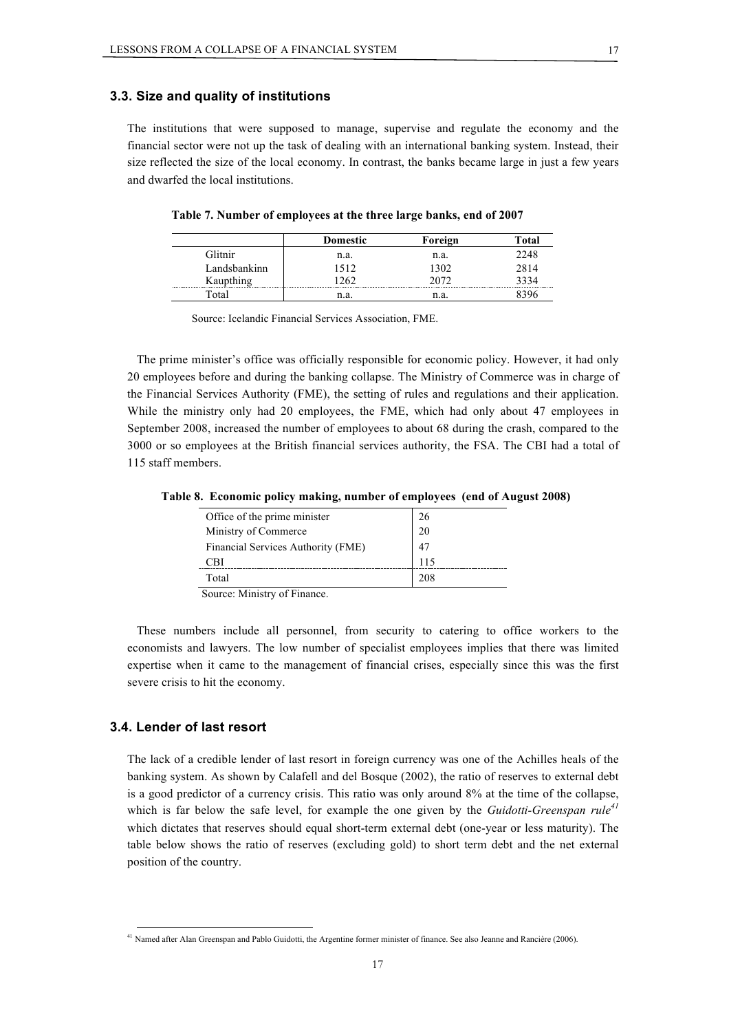## **3.3. Size and quality of institutions**

The institutions that were supposed to manage, supervise and regulate the economy and the financial sector were not up the task of dealing with an international banking system. Instead, their size reflected the size of the local economy. In contrast, the banks became large in just a few years and dwarfed the local institutions.

|              | Domestic | Foreign | `otal  |
|--------------|----------|---------|--------|
| Glitnir      | n.a.     | n.a.    | 2248   |
| Landsbankinn | 1512.    | 302     | 'X I 4 |
| Kaupthing    |          |         |        |
| `otal        | ı.a      | n.a.    |        |

**Table 7. Number of employees at the three large banks, end of 2007**

Source: Icelandic Financial Services Association, FME.

The prime minister's office was officially responsible for economic policy. However, it had only 20 employees before and during the banking collapse. The Ministry of Commerce was in charge of the Financial Services Authority (FME), the setting of rules and regulations and their application. While the ministry only had 20 employees, the FME, which had only about 47 employees in September 2008, increased the number of employees to about 68 during the crash, compared to the 3000 or so employees at the British financial services authority, the FSA. The CBI had a total of 115 staff members.

| Table 8. Economic policy making, number of employees (end of August 2008) |  |  |  |  |  |  |
|---------------------------------------------------------------------------|--|--|--|--|--|--|
|---------------------------------------------------------------------------|--|--|--|--|--|--|

| Office of the prime minister                 | 26  |
|----------------------------------------------|-----|
| Ministry of Commerce                         | 20  |
| Financial Services Authority (FME)           | 47  |
| CBI                                          | 115 |
| Total                                        | 208 |
| $C_{\text{out}}$ Minister of $\Gamma$ inanga |     |

Source: Ministry of Finance.

These numbers include all personnel, from security to catering to office workers to the economists and lawyers. The low number of specialist employees implies that there was limited expertise when it came to the management of financial crises, especially since this was the first severe crisis to hit the economy.

## **3.4. Lender of last resort**

The lack of a credible lender of last resort in foreign currency was one of the Achilles heals of the banking system. As shown by Calafell and del Bosque (2002), the ratio of reserves to external debt is a good predictor of a currency crisis. This ratio was only around 8% at the time of the collapse, which is far below the safe level, for example the one given by the *Guidotti-Greenspan rule*<sup>41</sup> which dictates that reserves should equal short-term external debt (one-year or less maturity). The table below shows the ratio of reserves (excluding gold) to short term debt and the net external position of the country.

 <sup>41</sup> Named after Alan Greenspan and Pablo Guidotti, the Argentine former minister of finance. See also Jeanne and Rancière (2006).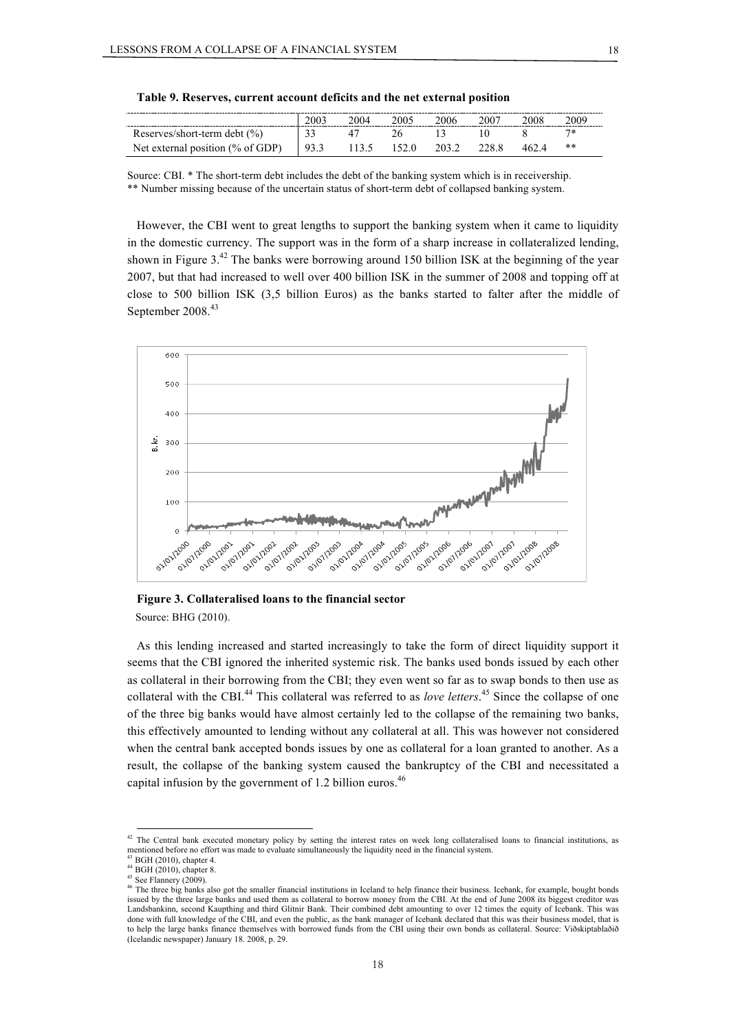|                                     | 2003           | 2004      | 2005. | 2006 | 2007 | 2008  |    |
|-------------------------------------|----------------|-----------|-------|------|------|-------|----|
| Reserves/short-term debt (%)        | $\frac{33}{2}$ | $\Delta'$ |       |      |      |       |    |
| Net external position $(\%$ of GDP) | 93.3           |           |       | 2032 | 7288 | 462.4 | ** |

**Table 9. Reserves, current account deficits and the net external position**

Source: CBI. \* The short-term debt includes the debt of the banking system which is in receivership. \*\* Number missing because of the uncertain status of short-term debt of collapsed banking system.

However, the CBI went to great lengths to support the banking system when it came to liquidity in the domestic currency. The support was in the form of a sharp increase in collateralized lending, shown in Figure 3.42 The banks were borrowing around 150 billion ISK at the beginning of the year 2007, but that had increased to well over 400 billion ISK in the summer of 2008 and topping off at close to 500 billion ISK (3,5 billion Euros) as the banks started to falter after the middle of September 2008.<sup>43</sup>



**Figure 3. Collateralised loans to the financial sector** Source: BHG (2010).

As this lending increased and started increasingly to take the form of direct liquidity support it seems that the CBI ignored the inherited systemic risk. The banks used bonds issued by each other as collateral in their borrowing from the CBI; they even went so far as to swap bonds to then use as collateral with the CBI.<sup>44</sup> This collateral was referred to as *love letters*.<sup>45</sup> Since the collapse of one of the three big banks would have almost certainly led to the collapse of the remaining two banks, this effectively amounted to lending without any collateral at all. This was however not considered when the central bank accepted bonds issues by one as collateral for a loan granted to another. As a result, the collapse of the banking system caused the bankruptcy of the CBI and necessitated a capital infusion by the government of 1.2 billion euros.<sup>46</sup>

 $42$  The Central bank executed monetary policy by setting the interest rates on week long collateralised loans to financial institutions, as mentioned before no effort was made to evaluate simultaneously the liquidity need in the financial system.<br><sup>43</sup> BGH (2010), chapter 4.

<sup>44</sup> BGH (2010), chapter 8.<br><sup>45</sup> See Flannery (2009).

<sup>&</sup>lt;sup>46</sup> The three big banks also got the smaller financial institutions in Iceland to help finance their business. Icebank, for example, bought bonds issued by the three large banks and used them as collateral to borrow money from the CBI. At the end of June 2008 its biggest creditor was Landsbankinn, second Kaupthing and third Glitnir Bank. Their combined debt amounting to over 12 times the equity of Icebank. This was done with full knowledge of the CBI, and even the public, as the bank manager of Icebank declared that this was their business model, that is to help the large banks finance themselves with borrowed funds from the CBI using their own bonds as collateral. Source: Viðskiptablaðið (Icelandic newspaper) January 18. 2008, p. 29.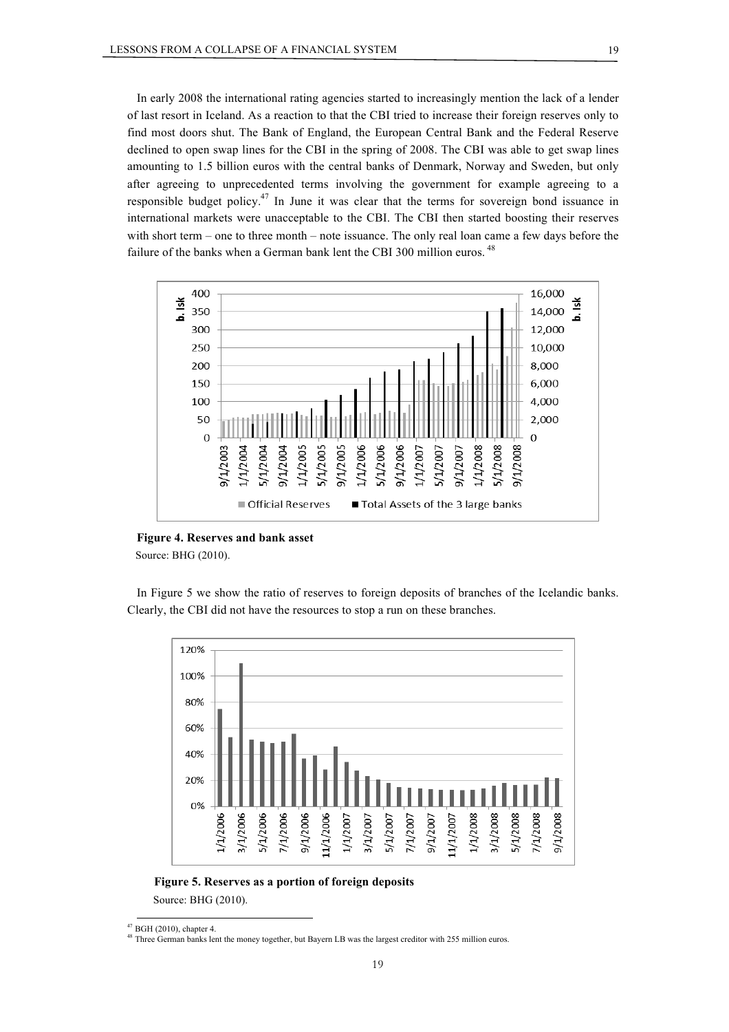In early 2008 the international rating agencies started to increasingly mention the lack of a lender of last resort in Iceland. As a reaction to that the CBI tried to increase their foreign reserves only to find most doors shut. The Bank of England, the European Central Bank and the Federal Reserve declined to open swap lines for the CBI in the spring of 2008. The CBI was able to get swap lines amounting to 1.5 billion euros with the central banks of Denmark, Norway and Sweden, but only after agreeing to unprecedented terms involving the government for example agreeing to a responsible budget policy.47 In June it was clear that the terms for sovereign bond issuance in international markets were unacceptable to the CBI. The CBI then started boosting their reserves with short term – one to three month – note issuance. The only real loan came a few days before the failure of the banks when a German bank lent the CBI 300 million euros.<sup>48</sup>



**Figure 4. Reserves and bank asset**

Source: BHG (2010).

In Figure 5 we show the ratio of reserves to foreign deposits of branches of the Icelandic banks. Clearly, the CBI did not have the resources to stop a run on these branches.



**Figure 5. Reserves as a portion of foreign deposits**

Source: BHG (2010).

 <sup>47</sup> BGH (2010), chapter 4.

<sup>&</sup>lt;sup>48</sup> Three German banks lent the money together, but Bayern LB was the largest creditor with 255 million euros.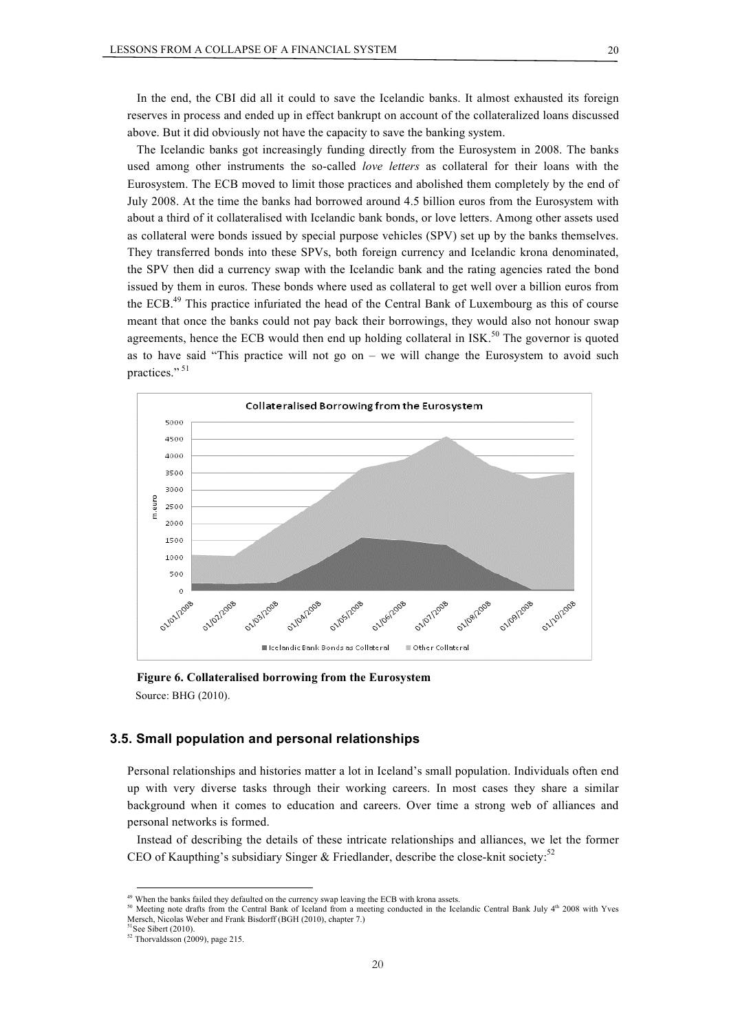In the end, the CBI did all it could to save the Icelandic banks. It almost exhausted its foreign reserves in process and ended up in effect bankrupt on account of the collateralized loans discussed above. But it did obviously not have the capacity to save the banking system.

The Icelandic banks got increasingly funding directly from the Eurosystem in 2008. The banks used among other instruments the so-called *love letters* as collateral for their loans with the Eurosystem. The ECB moved to limit those practices and abolished them completely by the end of July 2008. At the time the banks had borrowed around 4.5 billion euros from the Eurosystem with about a third of it collateralised with Icelandic bank bonds, or love letters. Among other assets used as collateral were bonds issued by special purpose vehicles (SPV) set up by the banks themselves. They transferred bonds into these SPVs, both foreign currency and Icelandic krona denominated, the SPV then did a currency swap with the Icelandic bank and the rating agencies rated the bond issued by them in euros. These bonds where used as collateral to get well over a billion euros from the ECB.49 This practice infuriated the head of the Central Bank of Luxembourg as this of course meant that once the banks could not pay back their borrowings, they would also not honour swap agreements, hence the ECB would then end up holding collateral in  $ISK$ .<sup>50</sup> The governor is quoted as to have said "This practice will not go on – we will change the Eurosystem to avoid such practices."<sup>51</sup>



**Figure 6. Collateralised borrowing from the Eurosystem** Source: BHG (2010).

#### **3.5. Small population and personal relationships**

Personal relationships and histories matter a lot in Iceland's small population. Individuals often end up with very diverse tasks through their working careers. In most cases they share a similar background when it comes to education and careers. Over time a strong web of alliances and personal networks is formed.

Instead of describing the details of these intricate relationships and alliances, we let the former CEO of Kaupthing's subsidiary Singer & Friedlander, describe the close-knit society:<sup>52</sup>

<sup>&</sup>lt;sup>49</sup> When the banks failed they defaulted on the currency swap leaving the ECB with krona assets.<br><sup>50</sup> Meeting note drafts from the Central Bank of Iceland from a meeting conducted in the Icelandic Central Bank July 4<sup>th</sup> Mersch, Nicolas Weber and Frank Bisdorff (BGH (2010), chapter 7.)

 $51$ See Sibert (2010).

 $52$  Thorvaldsson (2009), page 215.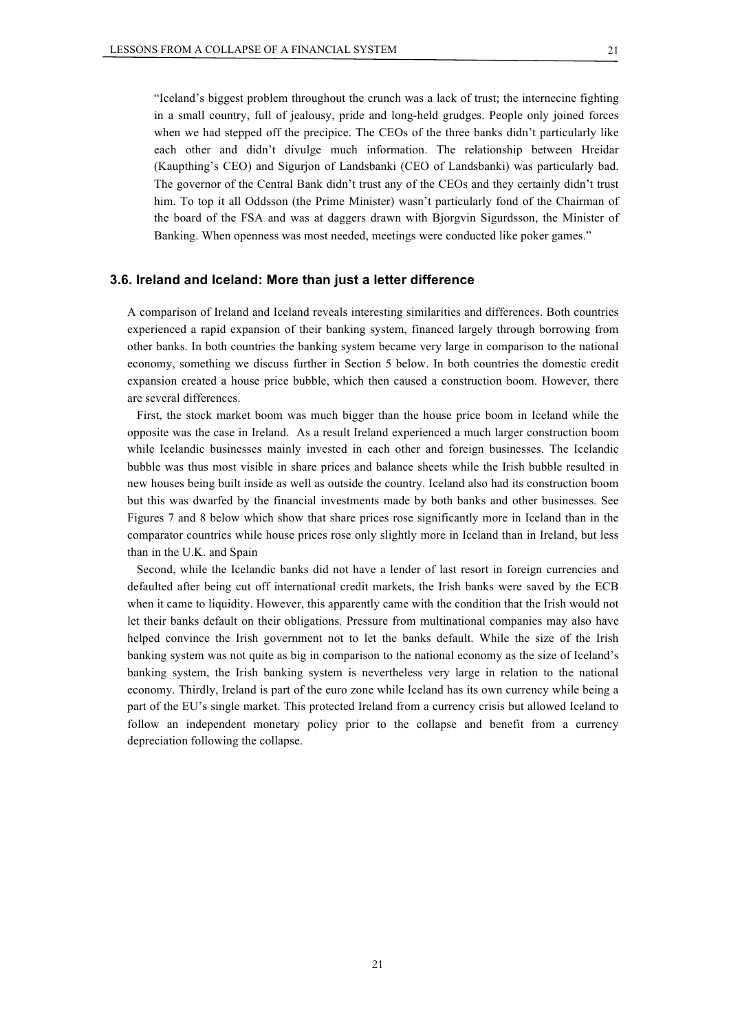"Iceland's biggest problem throughout the crunch was a lack of trust; the internecine fighting in a small country, full of jealousy, pride and long-held grudges. People only joined forces when we had stepped off the precipice. The CEOs of the three banks didn't particularly like each other and didn't divulge much information. The relationship between Hreidar (Kaupthing's CEO) and Sigurjon of Landsbanki (CEO of Landsbanki) was particularly bad. The governor of the Central Bank didn't trust any of the CEOs and they certainly didn't trust him. To top it all Oddsson (the Prime Minister) wasn't particularly fond of the Chairman of the board of the FSA and was at daggers drawn with Bjorgvin Sigurdsson, the Minister of Banking. When openness was most needed, meetings were conducted like poker games."

## **3.6. Ireland and Iceland: More than just a letter difference**

A comparison of Ireland and Iceland reveals interesting similarities and differences. Both countries experienced a rapid expansion of their banking system, financed largely through borrowing from other banks. In both countries the banking system became very large in comparison to the national economy, something we discuss further in Section 5 below. In both countries the domestic credit expansion created a house price bubble, which then caused a construction boom. However, there are several differences.

First, the stock market boom was much bigger than the house price boom in Iceland while the opposite was the case in Ireland. As a result Ireland experienced a much larger construction boom while Icelandic businesses mainly invested in each other and foreign businesses. The Icelandic bubble was thus most visible in share prices and balance sheets while the Irish bubble resulted in new houses being built inside as well as outside the country. Iceland also had its construction boom but this was dwarfed by the financial investments made by both banks and other businesses. See Figures 7 and 8 below which show that share prices rose significantly more in Iceland than in the comparator countries while house prices rose only slightly more in Iceland than in Ireland, but less than in the U.K. and Spain

Second, while the Icelandic banks did not have a lender of last resort in foreign currencies and defaulted after being cut off international credit markets, the Irish banks were saved by the ECB when it came to liquidity. However, this apparently came with the condition that the Irish would not let their banks default on their obligations. Pressure from multinational companies may also have helped convince the Irish government not to let the banks default. While the size of the Irish banking system was not quite as big in comparison to the national economy as the size of Iceland's banking system, the Irish banking system is nevertheless very large in relation to the national economy. Thirdly, Ireland is part of the euro zone while Iceland has its own currency while being a part of the EU's single market. This protected Ireland from a currency crisis but allowed Iceland to follow an independent monetary policy prior to the collapse and benefit from a currency depreciation following the collapse.

21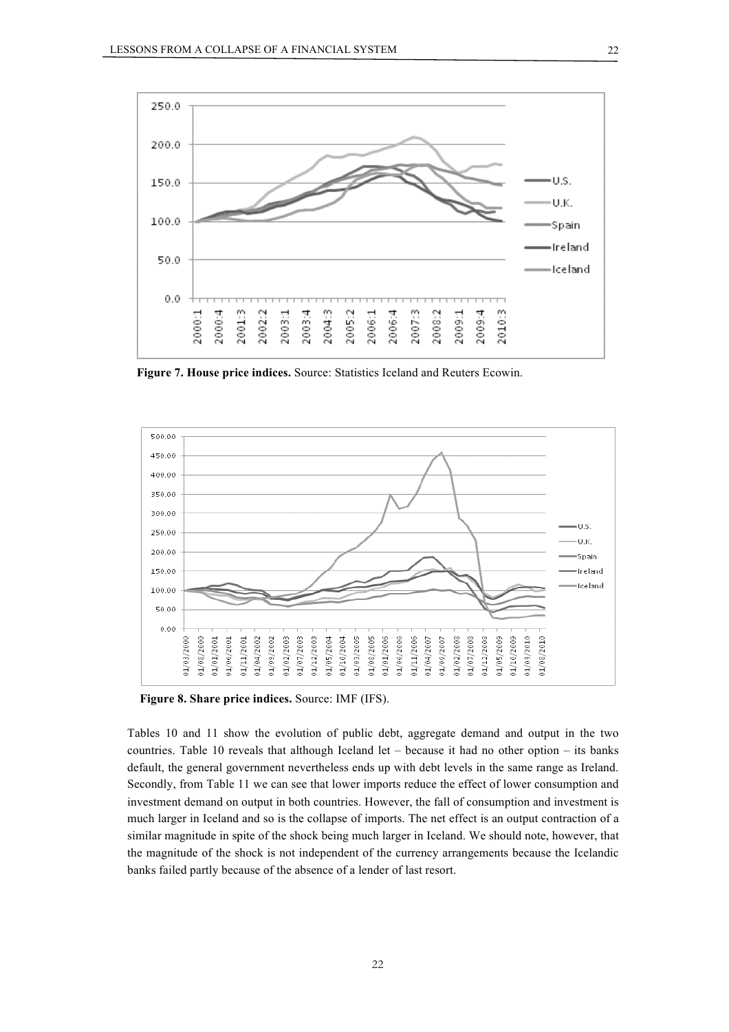

**Figure 7. House price indices.** Source: Statistics Iceland and Reuters Ecowin.



**Figure 8. Share price indices.** Source: IMF (IFS).

Tables 10 and 11 show the evolution of public debt, aggregate demand and output in the two countries. Table 10 reveals that although Iceland let – because it had no other option – its banks default, the general government nevertheless ends up with debt levels in the same range as Ireland. Secondly, from Table 11 we can see that lower imports reduce the effect of lower consumption and investment demand on output in both countries. However, the fall of consumption and investment is much larger in Iceland and so is the collapse of imports. The net effect is an output contraction of a similar magnitude in spite of the shock being much larger in Iceland. We should note, however, that the magnitude of the shock is not independent of the currency arrangements because the Icelandic banks failed partly because of the absence of a lender of last resort.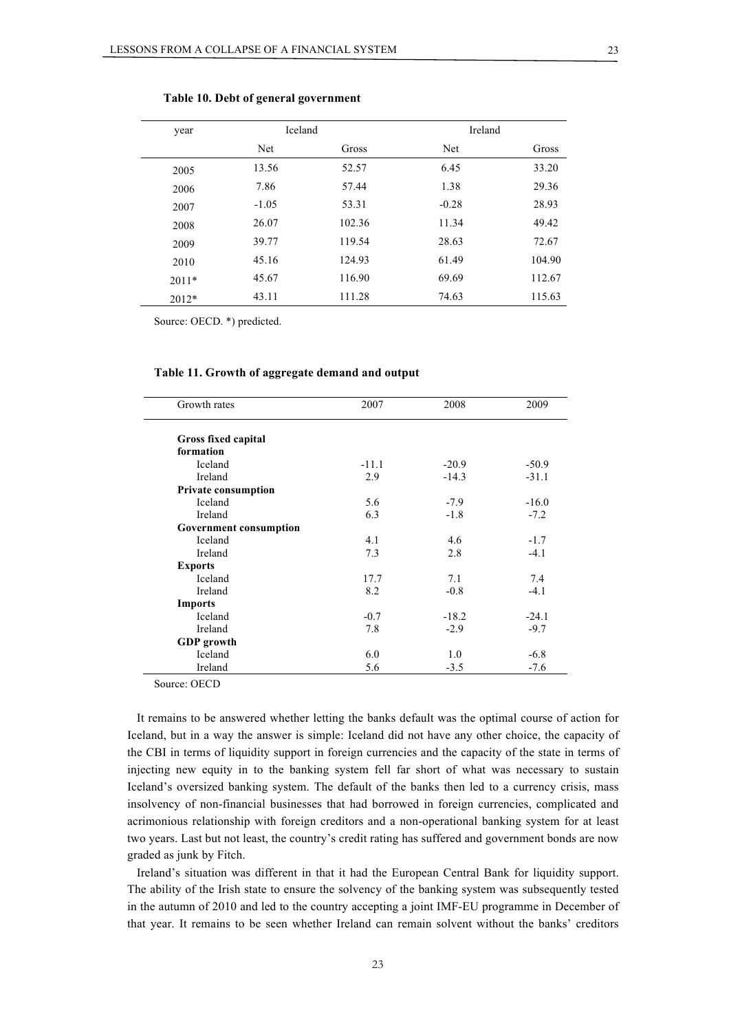| year    | Iceland |        | Ireland |        |
|---------|---------|--------|---------|--------|
|         | Net     | Gross  | Net     | Gross  |
| 2005    | 13.56   | 52.57  | 6.45    | 33.20  |
| 2006    | 7.86    | 57.44  | 1.38    | 29.36  |
| 2007    | $-1.05$ | 53.31  | $-0.28$ | 28.93  |
| 2008    | 26.07   | 102.36 | 11.34   | 49.42  |
| 2009    | 39.77   | 119.54 | 28.63   | 72.67  |
| 2010    | 45.16   | 124.93 | 61.49   | 104.90 |
| $2011*$ | 45.67   | 116.90 | 69.69   | 112.67 |
| $2012*$ | 43.11   | 111.28 | 74.63   | 115.63 |

#### **Table 10. Debt of general government**

Source: OECD. \*) predicted.

| Growth rates                  | 2007    | 2008    | 2009    |
|-------------------------------|---------|---------|---------|
| Gross fixed capital           |         |         |         |
| formation                     |         |         |         |
| Iceland                       | $-11.1$ | $-20.9$ | $-50.9$ |
| Ireland                       | 2.9     | $-14.3$ | $-31.1$ |
| <b>Private consumption</b>    |         |         |         |
| Iceland                       | 5.6     | $-7.9$  | $-16.0$ |
| Ireland                       | 6.3     | $-1.8$  | $-7.2$  |
| <b>Government consumption</b> |         |         |         |
| Iceland                       | 4.1     | 4.6     | $-1.7$  |
| Ireland                       | 7.3     | 2.8     | $-4.1$  |
| <b>Exports</b>                |         |         |         |
| Iceland                       | 17.7    | 7.1     | 7.4     |
| Ireland                       | 8.2     | $-0.8$  | $-4.1$  |
| <b>Imports</b>                |         |         |         |
| <b>Iceland</b>                | $-0.7$  | $-18.2$ | $-24.1$ |
| Ireland                       | 7.8     | $-2.9$  | $-9.7$  |
| <b>GDP</b> growth             |         |         |         |
| Iceland                       | 6.0     | 1.0     | $-6.8$  |
| Ireland                       | 5.6     | $-3.5$  | $-7.6$  |

#### **Table 11. Growth of aggregate demand and output**

Source: OECD

It remains to be answered whether letting the banks default was the optimal course of action for Iceland, but in a way the answer is simple: Iceland did not have any other choice, the capacity of the CBI in terms of liquidity support in foreign currencies and the capacity of the state in terms of injecting new equity in to the banking system fell far short of what was necessary to sustain Iceland's oversized banking system. The default of the banks then led to a currency crisis, mass insolvency of non-financial businesses that had borrowed in foreign currencies, complicated and acrimonious relationship with foreign creditors and a non-operational banking system for at least two years. Last but not least, the country's credit rating has suffered and government bonds are now graded as junk by Fitch.

Ireland's situation was different in that it had the European Central Bank for liquidity support. The ability of the Irish state to ensure the solvency of the banking system was subsequently tested in the autumn of 2010 and led to the country accepting a joint IMF-EU programme in December of that year. It remains to be seen whether Ireland can remain solvent without the banks' creditors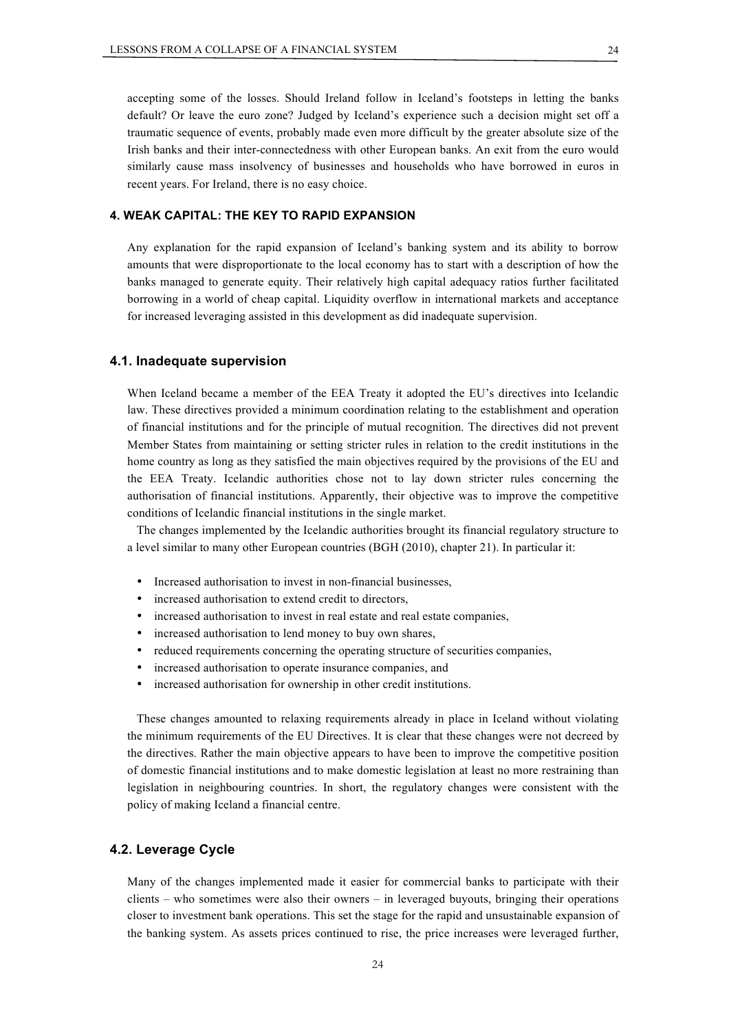accepting some of the losses. Should Ireland follow in Iceland's footsteps in letting the banks default? Or leave the euro zone? Judged by Iceland's experience such a decision might set off a traumatic sequence of events, probably made even more difficult by the greater absolute size of the Irish banks and their inter-connectedness with other European banks. An exit from the euro would similarly cause mass insolvency of businesses and households who have borrowed in euros in recent years. For Ireland, there is no easy choice.

## **4. WEAK CAPITAL: THE KEY TO RAPID EXPANSION**

Any explanation for the rapid expansion of Iceland's banking system and its ability to borrow amounts that were disproportionate to the local economy has to start with a description of how the banks managed to generate equity. Their relatively high capital adequacy ratios further facilitated borrowing in a world of cheap capital. Liquidity overflow in international markets and acceptance for increased leveraging assisted in this development as did inadequate supervision.

## **4.1. Inadequate supervision**

When Iceland became a member of the EEA Treaty it adopted the EU's directives into Icelandic law. These directives provided a minimum coordination relating to the establishment and operation of financial institutions and for the principle of mutual recognition. The directives did not prevent Member States from maintaining or setting stricter rules in relation to the credit institutions in the home country as long as they satisfied the main objectives required by the provisions of the EU and the EEA Treaty. Icelandic authorities chose not to lay down stricter rules concerning the authorisation of financial institutions. Apparently, their objective was to improve the competitive conditions of Icelandic financial institutions in the single market.

The changes implemented by the Icelandic authorities brought its financial regulatory structure to a level similar to many other European countries (BGH (2010), chapter 21). In particular it:

- Increased authorisation to invest in non-financial businesses.
- increased authorisation to extend credit to directors.
- increased authorisation to invest in real estate and real estate companies,
- increased authorisation to lend money to buy own shares,
- reduced requirements concerning the operating structure of securities companies,
- increased authorisation to operate insurance companies, and
- increased authorisation for ownership in other credit institutions.

These changes amounted to relaxing requirements already in place in Iceland without violating the minimum requirements of the EU Directives. It is clear that these changes were not decreed by the directives. Rather the main objective appears to have been to improve the competitive position of domestic financial institutions and to make domestic legislation at least no more restraining than legislation in neighbouring countries. In short, the regulatory changes were consistent with the policy of making Iceland a financial centre.

## **4.2. Leverage Cycle**

Many of the changes implemented made it easier for commercial banks to participate with their clients – who sometimes were also their owners – in leveraged buyouts, bringing their operations closer to investment bank operations. This set the stage for the rapid and unsustainable expansion of the banking system. As assets prices continued to rise, the price increases were leveraged further,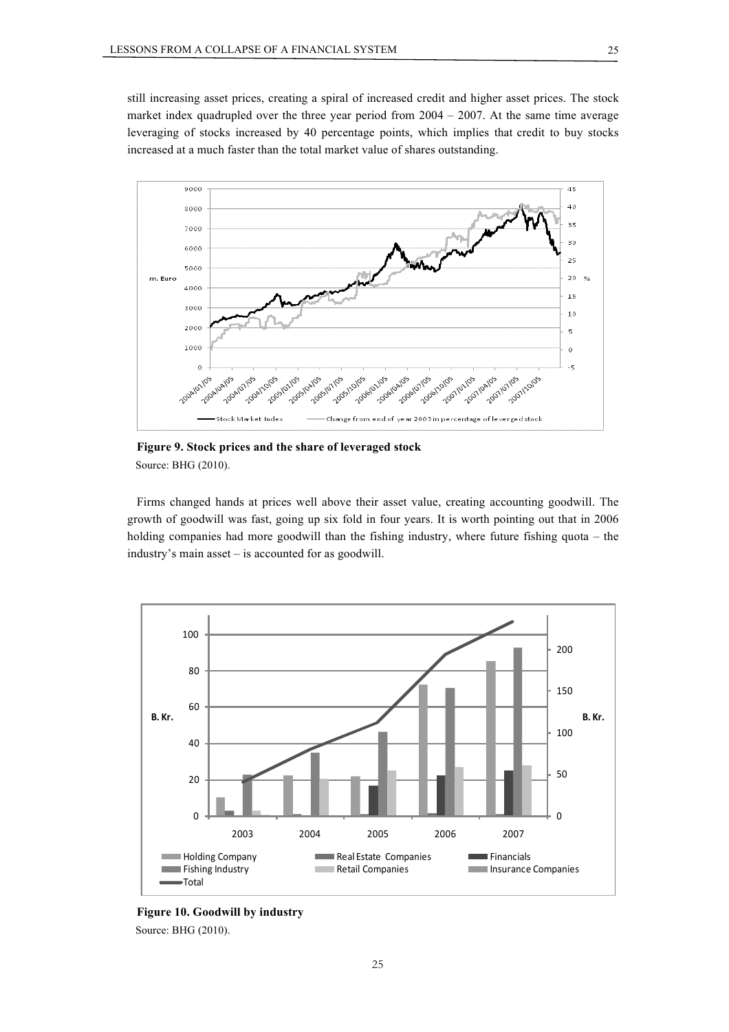still increasing asset prices, creating a spiral of increased credit and higher asset prices. The stock market index quadrupled over the three year period from 2004 – 2007. At the same time average leveraging of stocks increased by 40 percentage points, which implies that credit to buy stocks increased at a much faster than the total market value of shares outstanding.



**Figure 9. Stock prices and the share of leveraged stock** Source: BHG (2010).

Firms changed hands at prices well above their asset value, creating accounting goodwill. The growth of goodwill was fast, going up six fold in four years. It is worth pointing out that in 2006 holding companies had more goodwill than the fishing industry, where future fishing quota – the industry's main asset – is accounted for as goodwill.



**Figure 10. Goodwill by industry** Source: BHG (2010).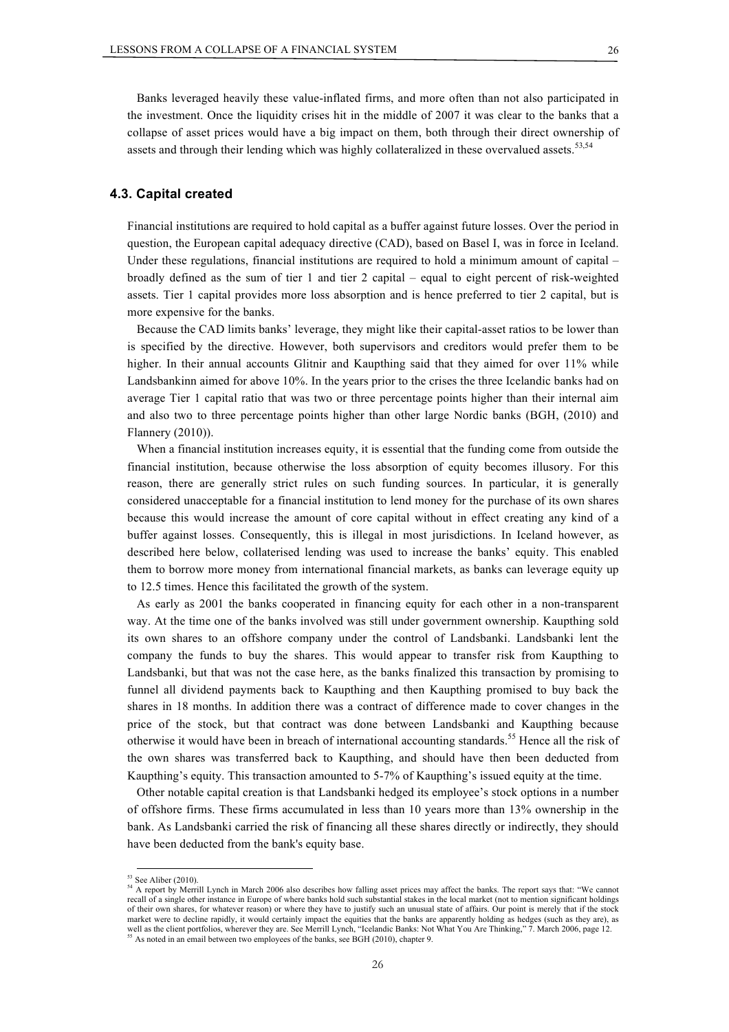Banks leveraged heavily these value-inflated firms, and more often than not also participated in the investment. Once the liquidity crises hit in the middle of 2007 it was clear to the banks that a collapse of asset prices would have a big impact on them, both through their direct ownership of assets and through their lending which was highly collateralized in these overvalued assets.<sup>53,54</sup>

## **4.3. Capital created**

Financial institutions are required to hold capital as a buffer against future losses. Over the period in question, the European capital adequacy directive (CAD), based on Basel I, was in force in Iceland. Under these regulations, financial institutions are required to hold a minimum amount of capital – broadly defined as the sum of tier 1 and tier 2 capital – equal to eight percent of risk-weighted assets. Tier 1 capital provides more loss absorption and is hence preferred to tier 2 capital, but is more expensive for the banks.

Because the CAD limits banks' leverage, they might like their capital-asset ratios to be lower than is specified by the directive. However, both supervisors and creditors would prefer them to be higher. In their annual accounts Glitnir and Kaupthing said that they aimed for over 11% while Landsbankinn aimed for above 10%. In the years prior to the crises the three Icelandic banks had on average Tier 1 capital ratio that was two or three percentage points higher than their internal aim and also two to three percentage points higher than other large Nordic banks (BGH, (2010) and Flannery (2010)).

When a financial institution increases equity, it is essential that the funding come from outside the financial institution, because otherwise the loss absorption of equity becomes illusory. For this reason, there are generally strict rules on such funding sources. In particular, it is generally considered unacceptable for a financial institution to lend money for the purchase of its own shares because this would increase the amount of core capital without in effect creating any kind of a buffer against losses. Consequently, this is illegal in most jurisdictions. In Iceland however, as described here below, collaterised lending was used to increase the banks' equity. This enabled them to borrow more money from international financial markets, as banks can leverage equity up to 12.5 times. Hence this facilitated the growth of the system.

As early as 2001 the banks cooperated in financing equity for each other in a non-transparent way. At the time one of the banks involved was still under government ownership. Kaupthing sold its own shares to an offshore company under the control of Landsbanki. Landsbanki lent the company the funds to buy the shares. This would appear to transfer risk from Kaupthing to Landsbanki, but that was not the case here, as the banks finalized this transaction by promising to funnel all dividend payments back to Kaupthing and then Kaupthing promised to buy back the shares in 18 months. In addition there was a contract of difference made to cover changes in the price of the stock, but that contract was done between Landsbanki and Kaupthing because otherwise it would have been in breach of international accounting standards.<sup>55</sup> Hence all the risk of the own shares was transferred back to Kaupthing, and should have then been deducted from Kaupthing's equity. This transaction amounted to 5-7% of Kaupthing's issued equity at the time.

Other notable capital creation is that Landsbanki hedged its employee's stock options in a number of offshore firms. These firms accumulated in less than 10 years more than 13% ownership in the bank. As Landsbanki carried the risk of financing all these shares directly or indirectly, they should have been deducted from the bank's equity base.

<sup>&</sup>lt;sup>53</sup> See Aliber (2010).<br><sup>54</sup> A report by Merrill Lynch in March 2006 also describes how falling asset prices may affect the banks. The report says that: "We cannot recall of a single other instance in Europe of where banks hold such substantial stakes in the local market (not to mention significant holdings of their own shares, for whatever reason) or where they have to justify such an unusual state of affairs. Our point is merely that if the stock market were to decline rapidly, it would certainly impact the equities that the banks are apparently holding as hedges (such as they are), as well as the client portfolios, wherever they are. See Merrill Lynch, "Icelandic Banks: Not What You Are Thinking," 7. March 2006, page 12.<br><sup>55</sup> As noted in an email between two employees of the banks, see BGH (2010), chapt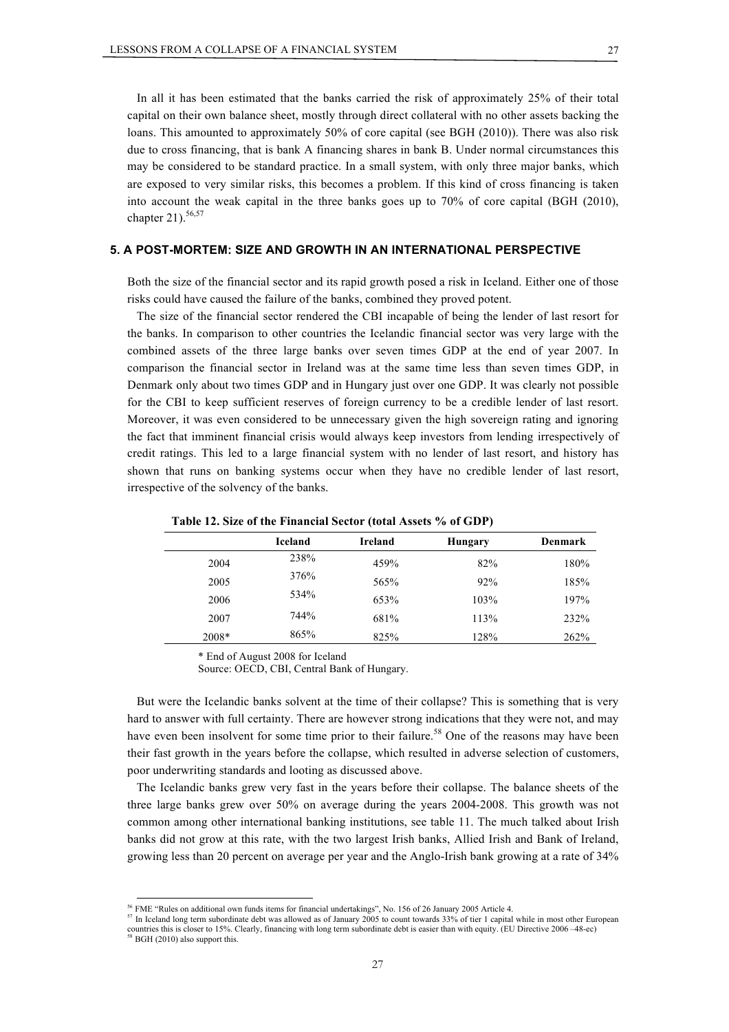In all it has been estimated that the banks carried the risk of approximately 25% of their total capital on their own balance sheet, mostly through direct collateral with no other assets backing the loans. This amounted to approximately 50% of core capital (see BGH (2010)). There was also risk due to cross financing, that is bank A financing shares in bank B. Under normal circumstances this may be considered to be standard practice. In a small system, with only three major banks, which are exposed to very similar risks, this becomes a problem. If this kind of cross financing is taken into account the weak capital in the three banks goes up to 70% of core capital (BGH (2010), chapter 21). $56,57$ 

## **5. A POST-MORTEM: SIZE AND GROWTH IN AN INTERNATIONAL PERSPECTIVE**

Both the size of the financial sector and its rapid growth posed a risk in Iceland. Either one of those risks could have caused the failure of the banks, combined they proved potent.

The size of the financial sector rendered the CBI incapable of being the lender of last resort for the banks. In comparison to other countries the Icelandic financial sector was very large with the combined assets of the three large banks over seven times GDP at the end of year 2007. In comparison the financial sector in Ireland was at the same time less than seven times GDP, in Denmark only about two times GDP and in Hungary just over one GDP. It was clearly not possible for the CBI to keep sufficient reserves of foreign currency to be a credible lender of last resort. Moreover, it was even considered to be unnecessary given the high sovereign rating and ignoring the fact that imminent financial crisis would always keep investors from lending irrespectively of credit ratings. This led to a large financial system with no lender of last resort, and history has shown that runs on banking systems occur when they have no credible lender of last resort, irrespective of the solvency of the banks.

|       | <b>Iceland</b> | <b>Ireland</b> | Hungary | <b>Denmark</b> |
|-------|----------------|----------------|---------|----------------|
| 2004  | 238%           | 459%           | 82%     | 180%           |
| 2005  | 376%           | 565%           | 92%     | 185%           |
| 2006  | 534%           | 653%           | 103%    | 197%           |
| 2007  | 744%           | 681%           | 113%    | 232%           |
| 2008* | 865%           | 825%           | 128%    | 262%           |

**Table 12. Size of the Financial Sector (total Assets % of GDP)**

\* End of August 2008 for Iceland

Source: OECD, CBI, Central Bank of Hungary.

But were the Icelandic banks solvent at the time of their collapse? This is something that is very hard to answer with full certainty. There are however strong indications that they were not, and may have even been insolvent for some time prior to their failure.<sup>58</sup> One of the reasons may have been their fast growth in the years before the collapse, which resulted in adverse selection of customers, poor underwriting standards and looting as discussed above.

The Icelandic banks grew very fast in the years before their collapse. The balance sheets of the three large banks grew over 50% on average during the years 2004-2008. This growth was not common among other international banking institutions, see table 11. The much talked about Irish banks did not grow at this rate, with the two largest Irish banks, Allied Irish and Bank of Ireland, growing less than 20 percent on average per year and the Anglo-Irish bank growing at a rate of 34%

<sup>&</sup>lt;sup>56</sup> FME "Rules on additional own funds items for financial undertakings", No. 156 of 26 January 2005 Article 4.<br><sup>57</sup> In Iceland long term subordinate debt was allowed as of January 2005 to count towards 33% of tier 1 cap countries this is closer to 15%. Clearly, financing with long term subordinate debt is easier than with equity. (EU Directive 2006 –48-ec) <sup>58</sup> BGH (2010) also support this.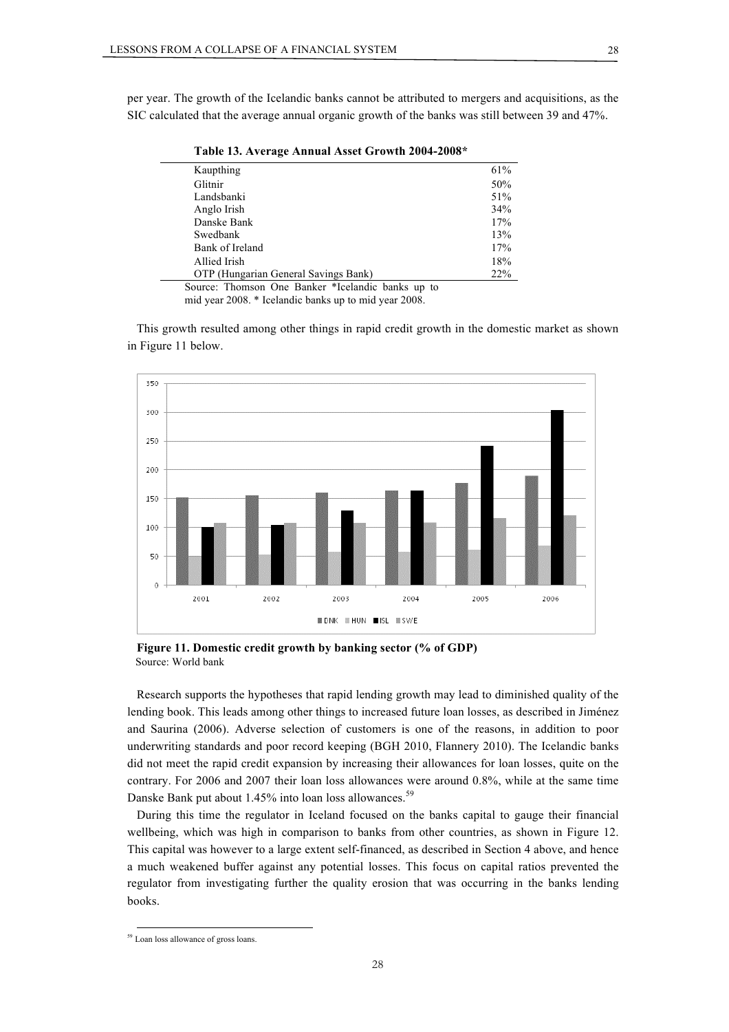per year. The growth of the Icelandic banks cannot be attributed to mergers and acquisitions, as the SIC calculated that the average annual organic growth of the banks was still between 39 and 47%.

| Kaupthing                            | 61% |
|--------------------------------------|-----|
| Glitnir                              | 50% |
| Landsbanki                           | 51% |
| Anglo Irish                          | 34% |
| Danske Bank                          | 17% |
| Swedbank                             | 13% |
| Bank of Ireland                      | 17% |
| Allied Irish                         | 18% |
| OTP (Hungarian General Savings Bank) | 22% |
|                                      |     |

**Table 13. Average Annual Asset Growth 2004-2008\***

Source: Thomson One Banker \*Icelandic banks up to

mid year 2008. \* Icelandic banks up to mid year 2008.

This growth resulted among other things in rapid credit growth in the domestic market as shown in Figure 11 below.



**Figure 11. Domestic credit growth by banking sector (% of GDP)** Source: World bank

Research supports the hypotheses that rapid lending growth may lead to diminished quality of the lending book. This leads among other things to increased future loan losses, as described in Jiménez and Saurina (2006). Adverse selection of customers is one of the reasons, in addition to poor underwriting standards and poor record keeping (BGH 2010, Flannery 2010). The Icelandic banks did not meet the rapid credit expansion by increasing their allowances for loan losses, quite on the contrary. For 2006 and 2007 their loan loss allowances were around 0.8%, while at the same time Danske Bank put about 1.45% into loan loss allowances.<sup>59</sup>

During this time the regulator in Iceland focused on the banks capital to gauge their financial wellbeing, which was high in comparison to banks from other countries, as shown in Figure 12. This capital was however to a large extent self-financed, as described in Section 4 above, and hence a much weakened buffer against any potential losses. This focus on capital ratios prevented the regulator from investigating further the quality erosion that was occurring in the banks lending books.

 <sup>59</sup> Loan loss allowance of gross loans.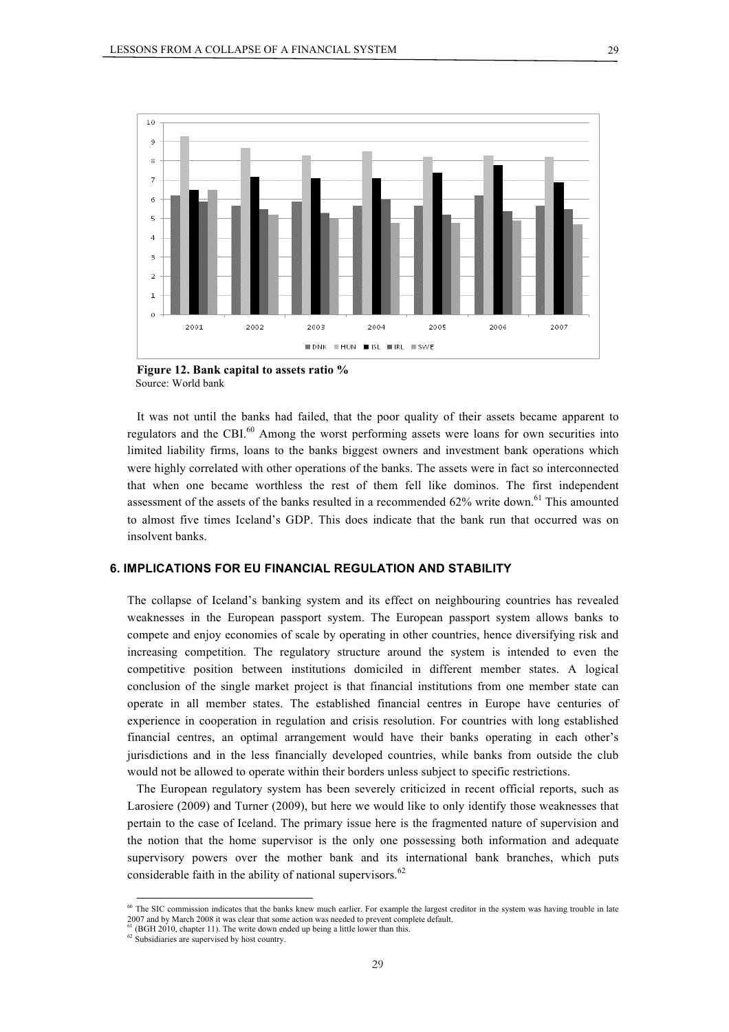

**Figure 12. Bank capital to assets ratio %** Source: World bank

It was not until the banks had failed, that the poor quality of their assets became apparent to regulators and the CBI.<sup>60</sup> Among the worst performing assets were loans for own securities into limited liability firms, loans to the banks biggest owners and investment bank operations which were highly correlated with other operations of the banks. The assets were in fact so interconnected that when one became worthless the rest of them fell like dominos. The first independent assessment of the assets of the banks resulted in a recommended  $62\%$  write down.<sup>61</sup> This amounted to almost five times Iceland's GDP. This does indicate that the bank run that occurred was on insolvent banks.

## **6. IMPLICATIONS FOR EU FINANCIAL REGULATION AND STABILITY**

The collapse of Iceland's banking system and its effect on neighbouring countries has revealed weaknesses in the European passport system. The European passport system allows banks to compete and enjoy economies of scale by operating in other countries, hence diversifying risk and increasing competition. The regulatory structure around the system is intended to even the competitive position between institutions domiciled in different member states. A logical conclusion of the single market project is that financial institutions from one member state can operate in all member states. The established financial centres in Europe have centuries of experience in cooperation in regulation and crisis resolution. For countries with long established financial centres, an optimal arrangement would have their banks operating in each other's jurisdictions and in the less financially developed countries, while banks from outside the club would not be allowed to operate within their borders unless subject to specific restrictions.

The European regulatory system has been severely criticized in recent official reports, such as Larosiere (2009) and Turner (2009), but here we would like to only identify those weaknesses that pertain to the case of Iceland. The primary issue here is the fragmented nature of supervision and the notion that the home supervisor is the only one possessing both information and adequate supervisory powers over the mother bank and its international bank branches, which puts considerable faith in the ability of national supervisors. $62$ 

<sup>&</sup>lt;sup>60</sup> The SIC commission indicates that the banks knew much earlier. For example the largest creditor in the system was having trouble in late 2007 and by March 2008 it was clear that some action was needed to prevent complete default.

 $61$  (BGH 2010, chapter 11). The write down ended up being a little lower than this.

 $62$  Subsidiaries are supervised by host country.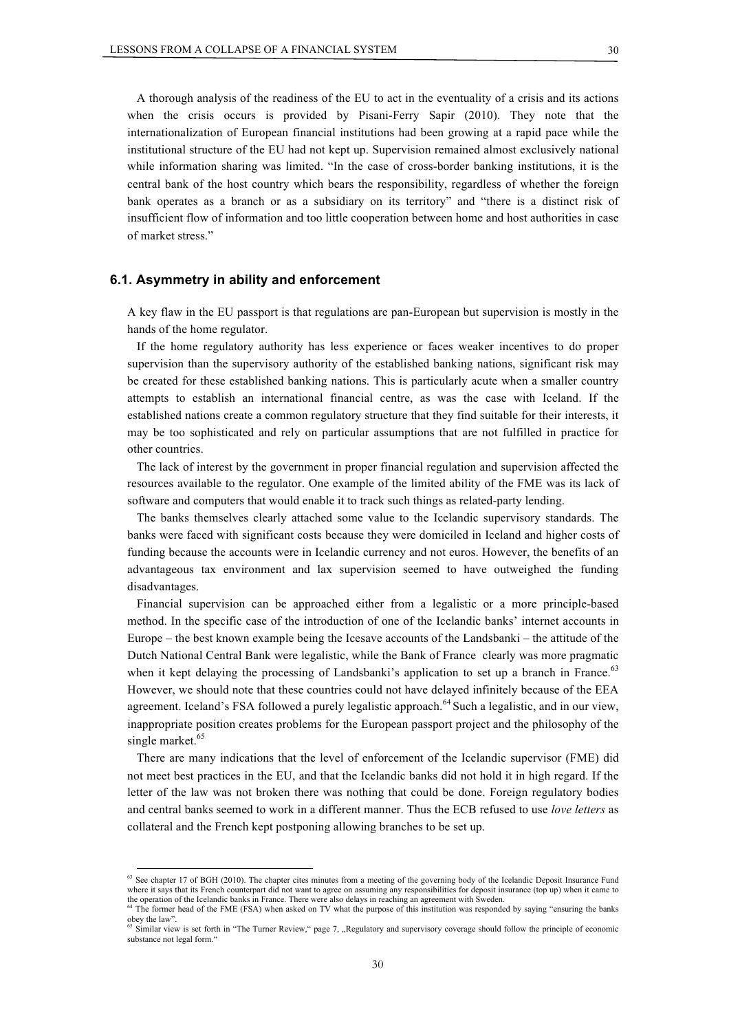A thorough analysis of the readiness of the EU to act in the eventuality of a crisis and its actions when the crisis occurs is provided by Pisani-Ferry Sapir (2010). They note that the internationalization of European financial institutions had been growing at a rapid pace while the institutional structure of the EU had not kept up. Supervision remained almost exclusively national while information sharing was limited. "In the case of cross-border banking institutions, it is the central bank of the host country which bears the responsibility, regardless of whether the foreign bank operates as a branch or as a subsidiary on its territory" and "there is a distinct risk of insufficient flow of information and too little cooperation between home and host authorities in case of market stress."

## **6.1. Asymmetry in ability and enforcement**

A key flaw in the EU passport is that regulations are pan-European but supervision is mostly in the hands of the home regulator.

If the home regulatory authority has less experience or faces weaker incentives to do proper supervision than the supervisory authority of the established banking nations, significant risk may be created for these established banking nations. This is particularly acute when a smaller country attempts to establish an international financial centre, as was the case with Iceland. If the established nations create a common regulatory structure that they find suitable for their interests, it may be too sophisticated and rely on particular assumptions that are not fulfilled in practice for other countries.

The lack of interest by the government in proper financial regulation and supervision affected the resources available to the regulator. One example of the limited ability of the FME was its lack of software and computers that would enable it to track such things as related-party lending.

The banks themselves clearly attached some value to the Icelandic supervisory standards. The banks were faced with significant costs because they were domiciled in Iceland and higher costs of funding because the accounts were in Icelandic currency and not euros. However, the benefits of an advantageous tax environment and lax supervision seemed to have outweighed the funding disadvantages.

Financial supervision can be approached either from a legalistic or a more principle-based method. In the specific case of the introduction of one of the Icelandic banks' internet accounts in Europe – the best known example being the Icesave accounts of the Landsbanki – the attitude of the Dutch National Central Bank were legalistic, while the Bank of France clearly was more pragmatic when it kept delaying the processing of Landsbanki's application to set up a branch in France.<sup>63</sup> However, we should note that these countries could not have delayed infinitely because of the EEA agreement. Iceland's FSA followed a purely legalistic approach.<sup>64</sup> Such a legalistic, and in our view, inappropriate position creates problems for the European passport project and the philosophy of the single market.<sup>65</sup>

There are many indications that the level of enforcement of the Icelandic supervisor (FME) did not meet best practices in the EU, and that the Icelandic banks did not hold it in high regard. If the letter of the law was not broken there was nothing that could be done. Foreign regulatory bodies and central banks seemed to work in a different manner. Thus the ECB refused to use *love letters* as collateral and the French kept postponing allowing branches to be set up.

<sup>&</sup>lt;sup>63</sup> See chapter 17 of BGH (2010). The chapter cites minutes from a meeting of the governing body of the Icelandic Deposit Insurance Fund where it says that its French counterpart did not want to agree on assuming any responsibilities for deposit insurance (top up) when it came to the operation of the Icelandic banks in France. There were also delays in reaching an agreement with Sweden.

The former head of the FME (FSA) when asked on TV what the purpose of this institution was responded by saying "ensuring the banks obey the law".

<sup>&</sup>lt;sup>65</sup> Similar view is set forth in "The Turner Review," page 7, "Regulatory and supervisory coverage should follow the principle of economic substance not legal form."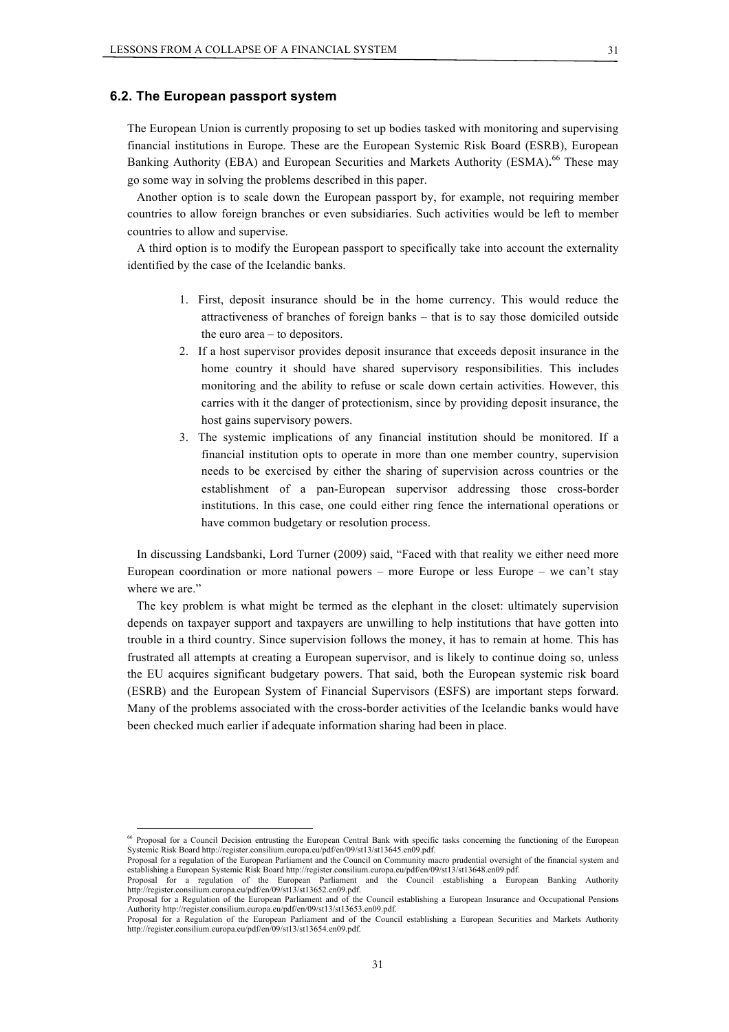## **6.2. The European passport system**

The European Union is currently proposing to set up bodies tasked with monitoring and supervising financial institutions in Europe. These are the European Systemic Risk Board (ESRB), European Banking Authority (EBA) and European Securities and Markets Authority (ESMA).<sup>66</sup> These may go some way in solving the problems described in this paper.

Another option is to scale down the European passport by, for example, not requiring member countries to allow foreign branches or even subsidiaries. Such activities would be left to member countries to allow and supervise.

A third option is to modify the European passport to specifically take into account the externality identified by the case of the Icelandic banks.

- 1. First, deposit insurance should be in the home currency. This would reduce the attractiveness of branches of foreign banks – that is to say those domiciled outside the euro area – to depositors.
- 2. If a host supervisor provides deposit insurance that exceeds deposit insurance in the home country it should have shared supervisory responsibilities. This includes monitoring and the ability to refuse or scale down certain activities. However, this carries with it the danger of protectionism, since by providing deposit insurance, the host gains supervisory powers.
- 3. The systemic implications of any financial institution should be monitored. If a financial institution opts to operate in more than one member country, supervision needs to be exercised by either the sharing of supervision across countries or the establishment of a pan-European supervisor addressing those cross-border institutions. In this case, one could either ring fence the international operations or have common budgetary or resolution process.

In discussing Landsbanki, Lord Turner (2009) said, "Faced with that reality we either need more European coordination or more national powers – more Europe or less Europe – we can't stay where we are."

The key problem is what might be termed as the elephant in the closet: ultimately supervision depends on taxpayer support and taxpayers are unwilling to help institutions that have gotten into trouble in a third country. Since supervision follows the money, it has to remain at home. This has frustrated all attempts at creating a European supervisor, and is likely to continue doing so, unless the EU acquires significant budgetary powers. That said, both the European systemic risk board (ESRB) and the European System of Financial Supervisors (ESFS) are important steps forward. Many of the problems associated with the cross-border activities of the Icelandic banks would have been checked much earlier if adequate information sharing had been in place.

 <sup>66</sup> Proposal for a Council Decision entrusting the European Central Bank with specific tasks concerning the functioning of the European Systemic Risk Board http://register.consilium.europa.eu/pdf/en/09/st13/st13645.en09.pdf.

Proposal for a regulation of the European Parliament and the Council on Community macro prudential oversight of the financial system and establishing a European Systemic Risk Board http://register.consilium.europa.eu/pdf/en/09/st13/st13648.en09.pdf.

Proposal for a regulation of the European Parliament and the Council establishing a European Banking Authority http://register.consilium.europa.eu/pdf/en/09/st13/st13652.en09.pdf. Proposal for a Regulation of the European Parliament and of the Council establishing a European Insurance and Occupational Pensions

Authority http://register.consilium.europa.eu/pdf/en/09/st13/st13653.en09.pdf. Proposal for a Regulation of the European Parliament and of the Council establishing a European Securities and Markets Authority

http://register.consilium.europa.eu/pdf/en/09/st13/st13654.en09.pdf.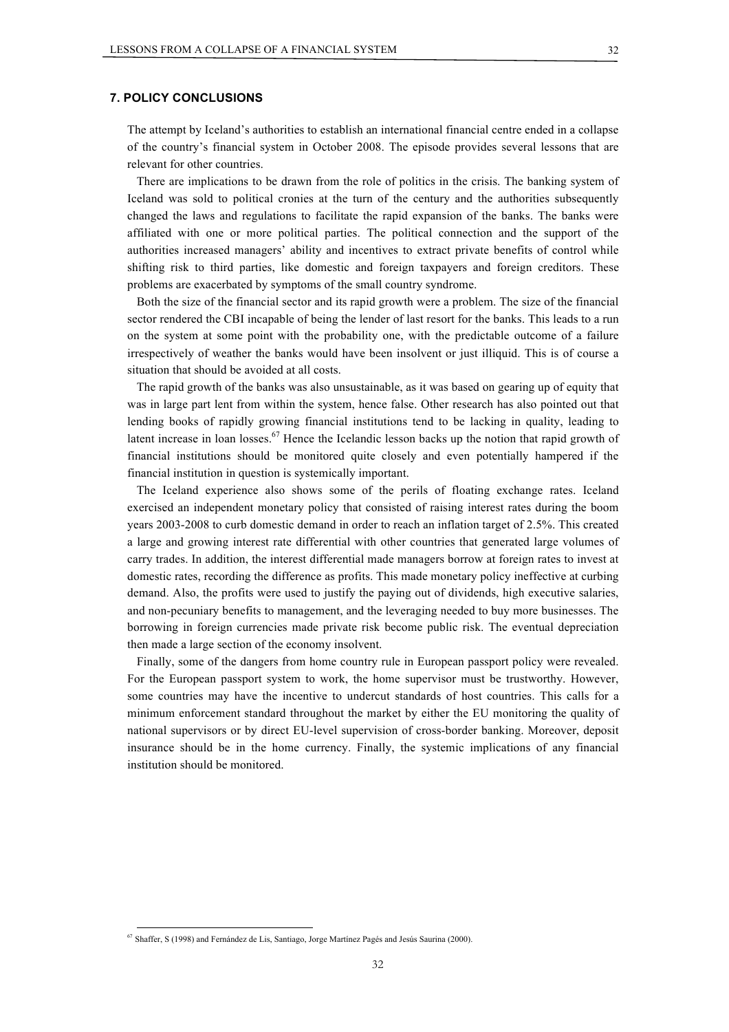## **7. POLICY CONCLUSIONS**

The attempt by Iceland's authorities to establish an international financial centre ended in a collapse of the country's financial system in October 2008. The episode provides several lessons that are relevant for other countries.

There are implications to be drawn from the role of politics in the crisis. The banking system of Iceland was sold to political cronies at the turn of the century and the authorities subsequently changed the laws and regulations to facilitate the rapid expansion of the banks. The banks were affiliated with one or more political parties. The political connection and the support of the authorities increased managers' ability and incentives to extract private benefits of control while shifting risk to third parties, like domestic and foreign taxpayers and foreign creditors. These problems are exacerbated by symptoms of the small country syndrome.

Both the size of the financial sector and its rapid growth were a problem. The size of the financial sector rendered the CBI incapable of being the lender of last resort for the banks. This leads to a run on the system at some point with the probability one, with the predictable outcome of a failure irrespectively of weather the banks would have been insolvent or just illiquid. This is of course a situation that should be avoided at all costs.

The rapid growth of the banks was also unsustainable, as it was based on gearing up of equity that was in large part lent from within the system, hence false. Other research has also pointed out that lending books of rapidly growing financial institutions tend to be lacking in quality, leading to latent increase in loan losses.<sup>67</sup> Hence the Icelandic lesson backs up the notion that rapid growth of financial institutions should be monitored quite closely and even potentially hampered if the financial institution in question is systemically important.

The Iceland experience also shows some of the perils of floating exchange rates. Iceland exercised an independent monetary policy that consisted of raising interest rates during the boom years 2003-2008 to curb domestic demand in order to reach an inflation target of 2.5%. This created a large and growing interest rate differential with other countries that generated large volumes of carry trades. In addition, the interest differential made managers borrow at foreign rates to invest at domestic rates, recording the difference as profits. This made monetary policy ineffective at curbing demand. Also, the profits were used to justify the paying out of dividends, high executive salaries, and non-pecuniary benefits to management, and the leveraging needed to buy more businesses. The borrowing in foreign currencies made private risk become public risk. The eventual depreciation then made a large section of the economy insolvent.

Finally, some of the dangers from home country rule in European passport policy were revealed. For the European passport system to work, the home supervisor must be trustworthy. However, some countries may have the incentive to undercut standards of host countries. This calls for a minimum enforcement standard throughout the market by either the EU monitoring the quality of national supervisors or by direct EU-level supervision of cross-border banking. Moreover, deposit insurance should be in the home currency. Finally, the systemic implications of any financial institution should be monitored.

 <sup>67</sup> Shaffer, S (1998) and Fernández de Lis, Santiago, Jorge Martínez Pagés and Jesús Saurina (2000).